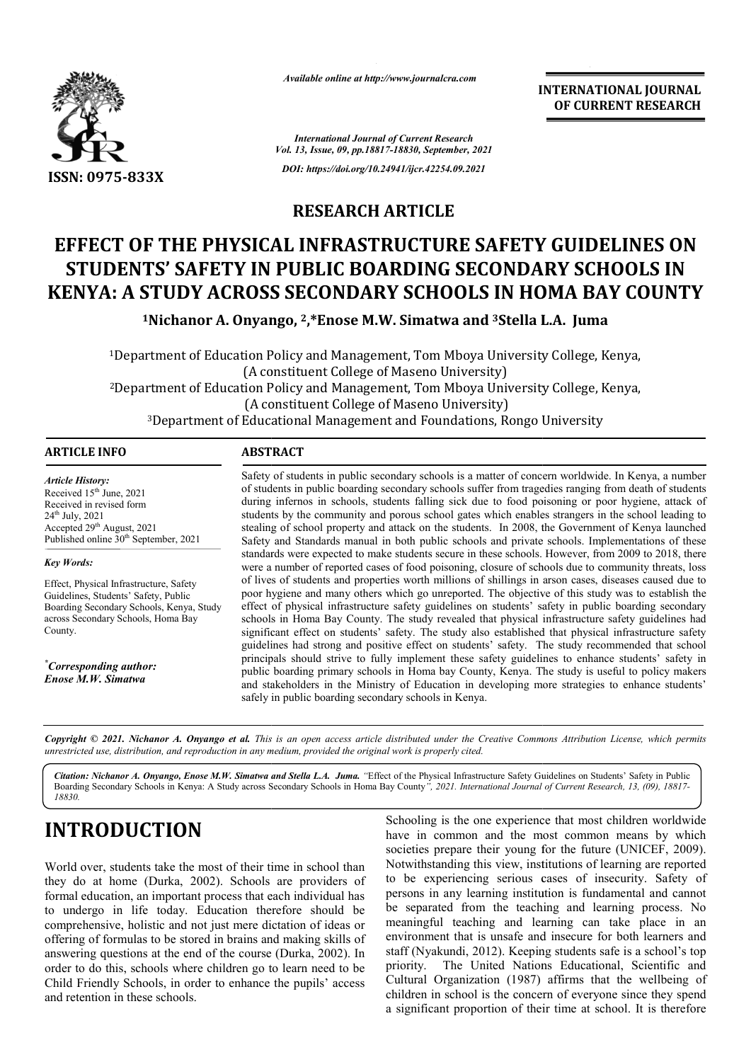

*Available online at http://www.journalcra.com*

**INTERNATIONAL JOURNAL OF CURRENT RESEARCH**

*International Journal of Current Research Vol. 13, Issue, 09, pp.18817-18830, September, 2021 DOI: https://doi.org/10.24941/ijcr.42254.09.2021*

**RESEARCH ARTICLE**

# **EFFECT OF THE PHYSICAL INFRASTRUCTURE SAFETY GUIDELINES ON STUDENTS' SAFETY IN PUBLIC BOARDING SECONDARY SCHOOLS IN KENYA: A STUDY ACROSS SECONDARY SCHOOLS IN HOMA BAY COUNTY FFECT OF THE PHYSICAL INFRASTRUCTURE SAFETY GUI<br>STUDENTS' SAFETY IN PUBLIC BOARDING SECONDARY S<br>ENYA: A STUDY ACROSS SECONDARY SCHOOLS IN HOMA<br><sup>1</sup>Nichanor A. Onyango, <sup>2</sup>,\*Enose M.W. Simatwa and <sup>3</sup>Stella L.A. Ju**

<sup>1</sup>Nichanor A. Onyango, <sup>2</sup>,\*Enose M.W. Simatwa and <sup>3</sup>Stella L.A. Juma

1Department of Education Policy and Management, Tom Mboya University College, Kenya, (A constituent College of Maseno University) <sup>1</sup>Department of Education Policy and Management, Tom Mboya University College, Kenya,<br>(A constituent College of Maseno University)<br><sup>2</sup>Department of Education Policy and Management, Tom Mboya University College, Kenya,<br>(A (A constituent College of Maseno University) 3Department of Educational Management and Foundations, Rongo University Department

### **ARTICLE INFO ABSTRACT**

*Article History: Article History: Article History:* Received  $15<sup>th</sup>$  June, 2021 Received in revised form Received in revised form Received in revised form<br>24<sup>th</sup> July, 2021 Accepted  $29<sup>th</sup>$  August, 2021 Published online  $30^{th}$  September, 2021

*Key Words:* 

Effect, Physical Infrastructure, Safety Guidelines, Students' Safety, Public Boarding Secondary Schools, Kenya, Study across Secondary Schools, Homa Bay County.

*\* Corresponding author: Enose M.W. Simatwa*

Safety of students in public secondary schools is a matter of concern worldwide. In Kenya, a number of students in public boarding secondary schools suffer from tragedies ranging from death of students during infernos in schools, students falling sick due to food poisoning or poor hygiene, attack of Safety of students in public secondary schools is a matter of concern worldwide. In Kenya, a number of students in public boarding secondary schools suffer from tragedies ranging from death of students during infernos in s stealing of school property and attack on the students. In 2008, the Government of Kenya launched Safety and Standards manual in both public schools and private schools. Implementations of these standards were expected to make students secure in these schools. However, from 2009 to 2018, there were a number of reported cases of food poisoning, closure of schools due to community threats, loss of lives of students and properties worth millions of shillings in arson cases, diseases caused due to poor hygiene and many others which go unreported. The objective of this study was to establish the effect of physical infrastructure safety guidelines on students' safety in public boarding secondary schools in Homa Bay County. The study revealed that physical infrastructure safety guidelines had significant effect on students' safety. The study also established that physical infrastructure safety guidelines had strong and positive effect on students' safety. The study recommended that school principals should strive to fully implement these safety guidelines to enhance students' safety in public boarding primary schools in Homa bay County, Kenya. The study is useful to policy makers and stakeholders in the Ministry of Education in developing more strategies to enhance students' safely in public boarding secondary schools in Kenya. stealing of school property and attack on the students. In 2008, the Government of Kenya launched<br>Safety and Standards manual in both public schools and private schools. Implementations of these<br>standards were expected to significant effect on students' safety. The study also established that physical infrastructure safety guidelines had strong and positive effect on students' safety. The study recommended that school principals should stri TERNATIONAL JOURNAL<br>
OF CURRENT RESEARCH<br>
OF CURRENT RESEARCH<br>
OF CURRENT RESEARCH<br>
Y SCHOOLS IN<br>
AL Juma<br>
College, Kenya,<br>
college, Kenya,<br>
college, Kenya,<br>
niversity<br>
nowndwide. In Kenya, a number scarce and the student<br>

Copyright © 2021. Nichanor A. Onyango et al. This is an open access article distributed under the Creative Commons Attribution License, which permits *unrestricted use, distribution, and reproduction in any medium, provided the original work is properly cited.*

Citation: Nichanor A. Onyango, Enose M.W. Simatwa and Stella L.A. Juma. "Effect of the Physical Infrastructure Safety Guidelines on Students' Safety in Public Boarding Secondary Schools in Kenya: A Study across Secondary Schools in Homa Bay County", 2021. International Journal of Current Research, 13, (09), 18817-*18830.*

# **INTRODUCTION**

World over, students take the most of their time in school than they do at home (Durka, 2002). Schools are providers of formal education, an important process that each individual has to undergo in life today. Education therefore should be comprehensive, holistic and not just mere dictation of ideas or offering of formulas to be stored in brains and making skills of answering questions at the end of the course (Durka, 2002). In order to do this, schools where children go to learn need to be Child Friendly Schools, in order to enhance the pupils' access and retention in these schools.

**CTION**<br>
Schooling is the one experience that most children worldwide<br>
have in common and the most common means by which<br>
societies prepare their young for the future (UNICEF, 2009).<br>
Let us a provides are provides of the have in common and the most common means by which societies prepare their young for the future (UNICEF, 2009). Notwithstanding this view, institutions of learning are reported to be experiencing serious cases of insecurity. Safety of persons in any learning institution is fundamental and cannot be separated from the teaching and learning process. No meaningful teaching and learning can take place in an environment that is unsafe and insecure for both learners and staff (Nyakundi, 2012). Keeping students safe is a school's top priority. The United Nations Educational, Scientific and Cultural Organization (1987) affirms that the wellbeing of children in school is the concern of everyone since they spend a significant proportion of their time at school. It is therefore in common and the most common means by which ocieties prepare their young for the future (UNICEF, 2009). otwithstanding this view, institutions of learning are reported be experiencing serious cases of insecurity. Safety o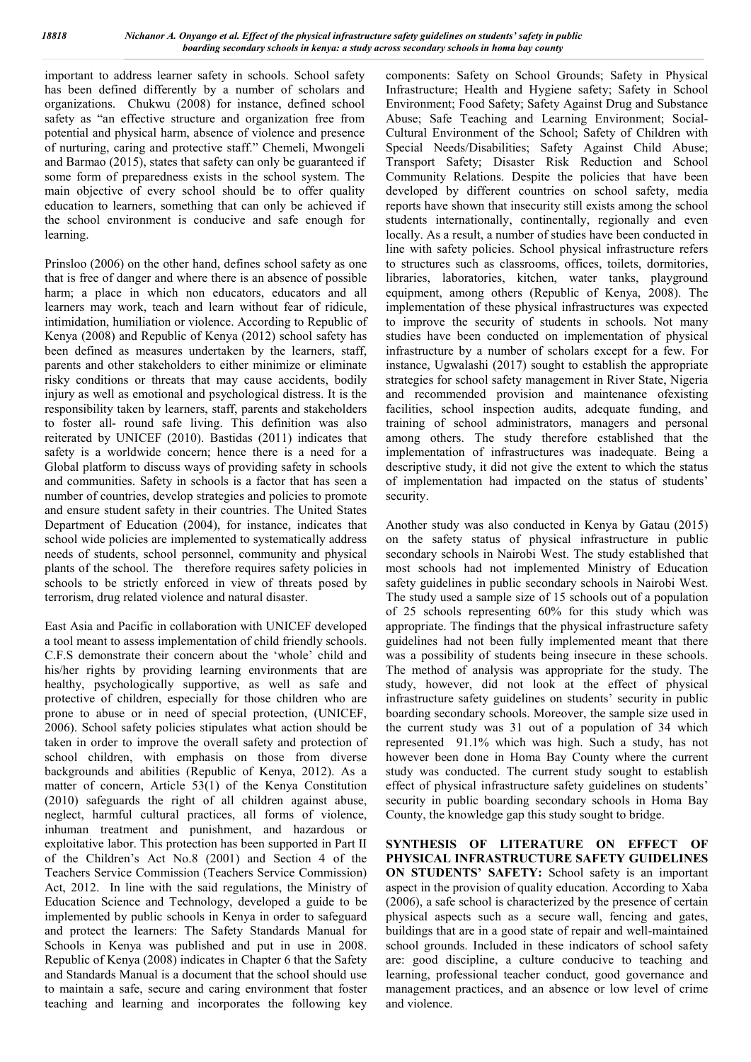important to address learner safety in schools. School safety has been defined differently by a number of scholars and organizations. Chukwu (2008) for instance, defined school safety as "an effective structure and organization free from potential and physical harm, absence of violence and presence of nurturing, caring and protective staff." Chemeli, Mwongeli and Barmao (2015), states that safety can only be guaranteed if some form of preparedness exists in the school system. The main objective of every school should be to offer quality education to learners, something that can only be achieved if the school environment is conducive and safe enough for learning.

Prinsloo (2006) on the other hand, defines school safety as one that is free of danger and where there is an absence of possible harm; a place in which non educators, educators and all learners may work, teach and learn without fear of ridicule, intimidation, humiliation or violence. According to Republic of Kenya (2008) and Republic of Kenya (2012) school safety has been defined as measures undertaken by the learners, staff, parents and other stakeholders to either minimize or eliminate risky conditions or threats that may cause accidents, bodily injury as well as emotional and psychological distress. It is the responsibility taken by learners, staff, parents and stakeholders to foster all- round safe living. This definition was also reiterated by UNICEF (2010). Bastidas (2011) indicates that safety is a worldwide concern; hence there is a need for a Global platform to discuss ways of providing safety in schools and communities. Safety in schools is a factor that has seen a number of countries, develop strategies and policies to promote and ensure student safety in their countries. The United States Department of Education (2004), for instance, indicates that school wide policies are implemented to systematically address needs of students, school personnel, community and physical plants of the school. The therefore requires safety policies in schools to be strictly enforced in view of threats posed by terrorism, drug related violence and natural disaster.

East Asia and Pacific in collaboration with UNICEF developed a tool meant to assess implementation of child friendly schools. C.F.S demonstrate their concern about the 'whole' child and his/her rights by providing learning environments that are healthy, psychologically supportive, as well as safe and protective of children, especially for those children who are prone to abuse or in need of special protection, (UNICEF, 2006). School safety policies stipulates what action should be taken in order to improve the overall safety and protection of school children, with emphasis on those from diverse backgrounds and abilities (Republic of Kenya, 2012). As a matter of concern, Article 53(1) of the Kenya Constitution (2010) safeguards the right of all children against abuse, neglect, harmful cultural practices, all forms of violence, inhuman treatment and punishment, and hazardous or exploitative labor. This protection has been supported in Part II of the Children's Act No.8 (2001) and Section 4 of the Teachers Service Commission (Teachers Service Commission) Act, 2012. In line with the said regulations, the Ministry of Education Science and Technology, developed a guide to be implemented by public schools in Kenya in order to safeguard and protect the learners: The Safety Standards Manual for Schools in Kenya was published and put in use in 2008. Republic of Kenya (2008) indicates in Chapter 6 that the Safety and Standards Manual is a document that the school should use to maintain a safe, secure and caring environment that foster teaching and learning and incorporates the following key

components: Safety on School Grounds; Safety in Physical Infrastructure; Health and Hygiene safety; Safety in School Environment; Food Safety; Safety Against Drug and Substance Abuse; Safe Teaching and Learning Environment; Social-Cultural Environment of the School; Safety of Children with Special Needs/Disabilities; Safety Against Child Abuse; Transport Safety; Disaster Risk Reduction and School Community Relations. Despite the policies that have been developed by different countries on school safety, media reports have shown that insecurity still exists among the school students internationally, continentally, regionally and even locally. As a result, a number of studies have been conducted in line with safety policies. School physical infrastructure refers to structures such as classrooms, offices, toilets, dormitories, libraries, laboratories, kitchen, water tanks, playground equipment, among others (Republic of Kenya, 2008). The implementation of these physical infrastructures was expected to improve the security of students in schools. Not many studies have been conducted on implementation of physical infrastructure by a number of scholars except for a few. For instance, Ugwalashi (2017) sought to establish the appropriate strategies for school safety management in River State, Nigeria and recommended provision and maintenance ofexisting facilities, school inspection audits, adequate funding, and training of school administrators, managers and personal among others. The study therefore established that the implementation of infrastructures was inadequate. Being a descriptive study, it did not give the extent to which the status of implementation had impacted on the status of students' security.

Another study was also conducted in Kenya by Gatau (2015) on the safety status of physical infrastructure in public secondary schools in Nairobi West. The study established that most schools had not implemented Ministry of Education safety guidelines in public secondary schools in Nairobi West. The study used a sample size of 15 schools out of a population of 25 schools representing 60% for this study which was appropriate. The findings that the physical infrastructure safety guidelines had not been fully implemented meant that there was a possibility of students being insecure in these schools. The method of analysis was appropriate for the study. The study, however, did not look at the effect of physical infrastructure safety guidelines on students' security in public boarding secondary schools. Moreover, the sample size used in the current study was 31 out of a population of 34 which represented 91.1% which was high. Such a study, has not however been done in Homa Bay County where the current study was conducted. The current study sought to establish effect of physical infrastructure safety guidelines on students' security in public boarding secondary schools in Homa Bay County, the knowledge gap this study sought to bridge.

**SYNTHESIS OF LITERATURE ON EFFECT OF PHYSICAL INFRASTRUCTURE SAFETY GUIDELINES ON STUDENTS' SAFETY:** School safety is an important aspect in the provision of quality education. According to Xaba (2006), a safe school is characterized by the presence of certain physical aspects such as a secure wall, fencing and gates, buildings that are in a good state of repair and well-maintained school grounds. Included in these indicators of school safety are: good discipline, a culture conducive to teaching and learning, professional teacher conduct, good governance and management practices, and an absence or low level of crime and violence.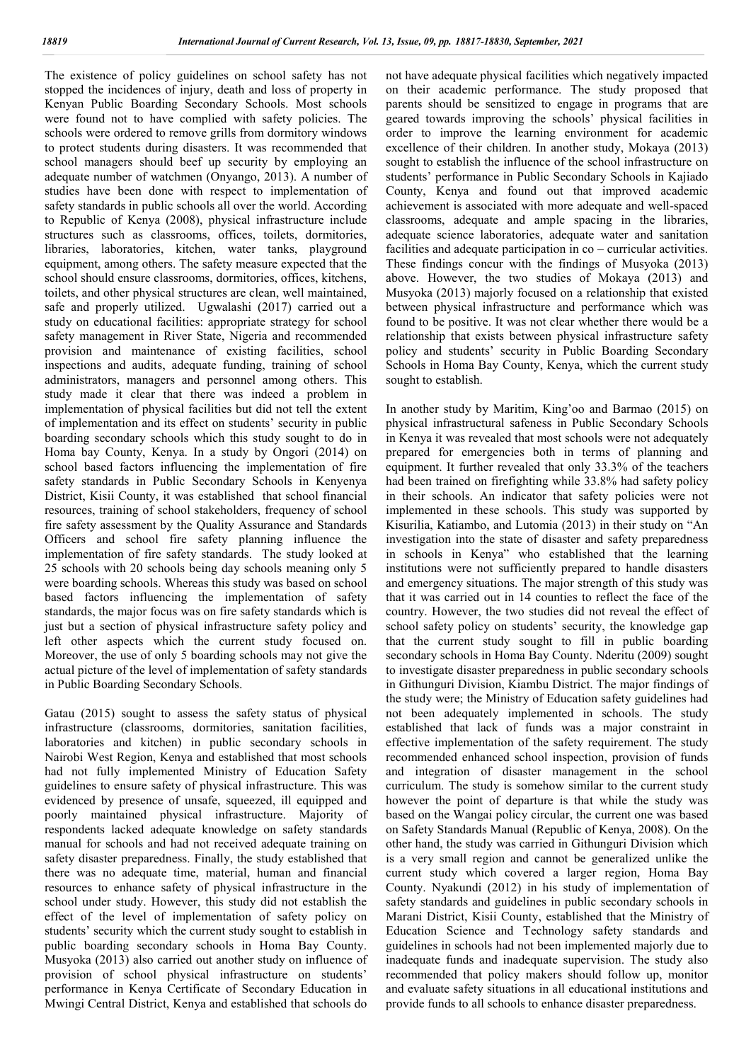The existence of policy guidelines on school safety has not stopped the incidences of injury, death and loss of property in Kenyan Public Boarding Secondary Schools. Most schools were found not to have complied with safety policies. The schools were ordered to remove grills from dormitory windows to protect students during disasters. It was recommended that school managers should beef up security by employing an adequate number of watchmen (Onyango, 2013). A number of studies have been done with respect to implementation of safety standards in public schools all over the world. According to Republic of Kenya (2008), physical infrastructure include structures such as classrooms, offices, toilets, dormitories, libraries, laboratories, kitchen, water tanks, playground equipment, among others. The safety measure expected that the school should ensure classrooms, dormitories, offices, kitchens, toilets, and other physical structures are clean, well maintained, safe and properly utilized. Ugwalashi (2017) carried out a study on educational facilities: appropriate strategy for school safety management in River State, Nigeria and recommended provision and maintenance of existing facilities, school inspections and audits, adequate funding, training of school administrators, managers and personnel among others. This study made it clear that there was indeed a problem in implementation of physical facilities but did not tell the extent of implementation and its effect on students' security in public boarding secondary schools which this study sought to do in Homa bay County, Kenya. In a study by Ongori (2014) on school based factors influencing the implementation of fire safety standards in Public Secondary Schools in Kenyenya District, Kisii County, it was established that school financial resources, training of school stakeholders, frequency of school fire safety assessment by the Quality Assurance and Standards Officers and school fire safety planning influence the implementation of fire safety standards. The study looked at 25 schools with 20 schools being day schools meaning only 5 were boarding schools. Whereas this study was based on school based factors influencing the implementation of safety standards, the major focus was on fire safety standards which is just but a section of physical infrastructure safety policy and left other aspects which the current study focused on. Moreover, the use of only 5 boarding schools may not give the actual picture of the level of implementation of safety standards in Public Boarding Secondary Schools.

Gatau (2015) sought to assess the safety status of physical infrastructure (classrooms, dormitories, sanitation facilities, laboratories and kitchen) in public secondary schools in Nairobi West Region, Kenya and established that most schools had not fully implemented Ministry of Education Safety guidelines to ensure safety of physical infrastructure. This was evidenced by presence of unsafe, squeezed, ill equipped and poorly maintained physical infrastructure. Majority of respondents lacked adequate knowledge on safety standards manual for schools and had not received adequate training on safety disaster preparedness. Finally, the study established that there was no adequate time, material, human and financial resources to enhance safety of physical infrastructure in the school under study. However, this study did not establish the effect of the level of implementation of safety policy on students' security which the current study sought to establish in public boarding secondary schools in Homa Bay County. Musyoka (2013) also carried out another study on influence of provision of school physical infrastructure on students' performance in Kenya Certificate of Secondary Education in Mwingi Central District, Kenya and established that schools do

not have adequate physical facilities which negatively impacted on their academic performance. The study proposed that parents should be sensitized to engage in programs that are geared towards improving the schools' physical facilities in order to improve the learning environment for academic excellence of their children. In another study, Mokaya (2013) sought to establish the influence of the school infrastructure on students' performance in Public Secondary Schools in Kajiado County, Kenya and found out that improved academic achievement is associated with more adequate and well-spaced classrooms, adequate and ample spacing in the libraries, adequate science laboratories, adequate water and sanitation facilities and adequate participation in co – curricular activities. These findings concur with the findings of Musyoka (2013) above. However, the two studies of Mokaya (2013) and Musyoka (2013) majorly focused on a relationship that existed between physical infrastructure and performance which was found to be positive. It was not clear whether there would be a relationship that exists between physical infrastructure safety policy and students' security in Public Boarding Secondary Schools in Homa Bay County, Kenya, which the current study sought to establish.

In another study by Maritim, King'oo and Barmao (2015) on physical infrastructural safeness in Public Secondary Schools in Kenya it was revealed that most schools were not adequately prepared for emergencies both in terms of planning and equipment. It further revealed that only 33.3% of the teachers had been trained on firefighting while 33.8% had safety policy in their schools. An indicator that safety policies were not implemented in these schools. This study was supported by Kisurilia, Katiambo, and Lutomia (2013) in their study on "An investigation into the state of disaster and safety preparedness in schools in Kenya" who established that the learning institutions were not sufficiently prepared to handle disasters and emergency situations. The major strength of this study was that it was carried out in 14 counties to reflect the face of the country. However, the two studies did not reveal the effect of school safety policy on students' security, the knowledge gap that the current study sought to fill in public boarding secondary schools in Homa Bay County. Nderitu (2009) sought to investigate disaster preparedness in public secondary schools in Githunguri Division, Kiambu District. The major findings of the study were; the Ministry of Education safety guidelines had not been adequately implemented in schools. The study established that lack of funds was a major constraint in effective implementation of the safety requirement. The study recommended enhanced school inspection, provision of funds and integration of disaster management in the school curriculum. The study is somehow similar to the current study however the point of departure is that while the study was based on the Wangai policy circular, the current one was based on Safety Standards Manual (Republic of Kenya, 2008). On the other hand, the study was carried in Githunguri Division which is a very small region and cannot be generalized unlike the current study which covered a larger region, Homa Bay County. Nyakundi (2012) in his study of implementation of safety standards and guidelines in public secondary schools in Marani District, Kisii County, established that the Ministry of Education Science and Technology safety standards and guidelines in schools had not been implemented majorly due to inadequate funds and inadequate supervision. The study also recommended that policy makers should follow up, monitor and evaluate safety situations in all educational institutions and provide funds to all schools to enhance disaster preparedness.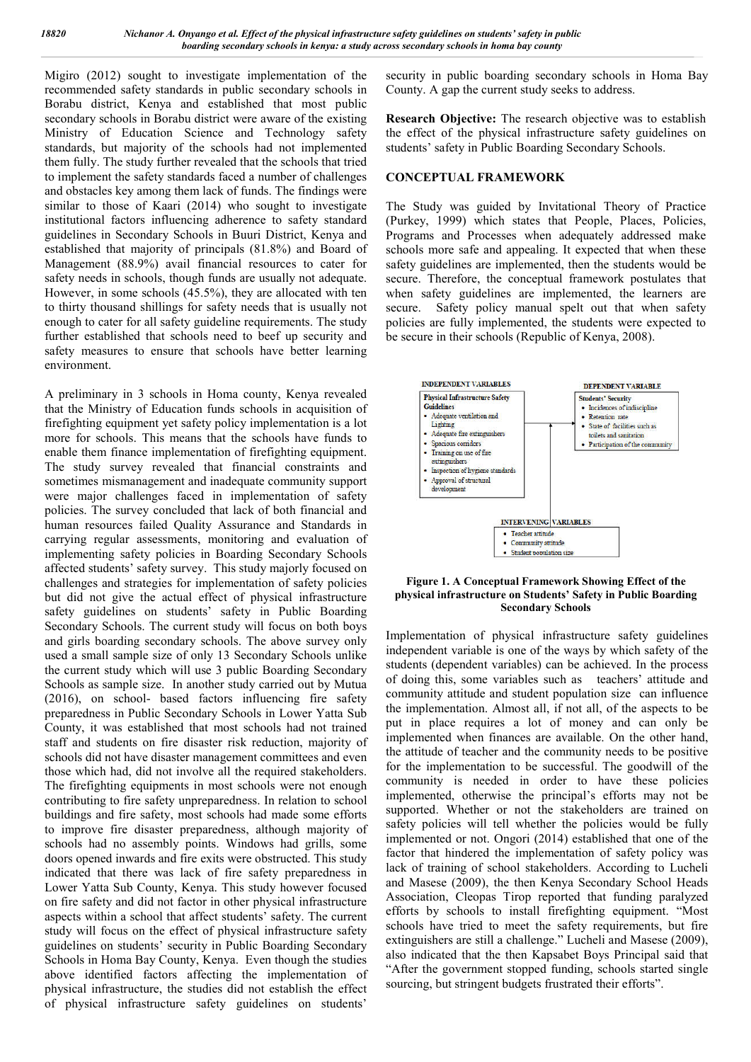Migiro (2012) sought to investigate implementation of the recommended safety standards in public secondary schools in Borabu district, Kenya and established that most public secondary schools in Borabu district were aware of the existing Ministry of Education Science and Technology safety standards, but majority of the schools had not implemented them fully. The study further revealed that the schools that tried to implement the safety standards faced a number of challenges and obstacles key among them lack of funds. The findings were similar to those of Kaari (2014) who sought to investigate institutional factors influencing adherence to safety standard guidelines in Secondary Schools in Buuri District, Kenya and established that majority of principals (81.8%) and Board of Management (88.9%) avail financial resources to cater for safety needs in schools, though funds are usually not adequate. However, in some schools (45.5%), they are allocated with ten to thirty thousand shillings for safety needs that is usually not enough to cater for all safety guideline requirements. The study further established that schools need to beef up security and safety measures to ensure that schools have better learning environment.

A preliminary in 3 schools in Homa county, Kenya revealed that the Ministry of Education funds schools in acquisition of firefighting equipment yet safety policy implementation is a lot more for schools. This means that the schools have funds to enable them finance implementation of firefighting equipment. The study survey revealed that financial constraints and sometimes mismanagement and inadequate community support were major challenges faced in implementation of safety policies. The survey concluded that lack of both financial and human resources failed Quality Assurance and Standards in carrying regular assessments, monitoring and evaluation of implementing safety policies in Boarding Secondary Schools affected students' safety survey. This study majorly focused on challenges and strategies for implementation of safety policies but did not give the actual effect of physical infrastructure safety guidelines on students' safety in Public Boarding Secondary Schools. The current study will focus on both boys and girls boarding secondary schools. The above survey only used a small sample size of only 13 Secondary Schools unlike the current study which will use 3 public Boarding Secondary Schools as sample size. In another study carried out by Mutua (2016), on school- based factors influencing fire safety preparedness in Public Secondary Schools in Lower Yatta Sub County, it was established that most schools had not trained staff and students on fire disaster risk reduction, majority of schools did not have disaster management committees and even those which had, did not involve all the required stakeholders. The firefighting equipments in most schools were not enough contributing to fire safety unpreparedness. In relation to school buildings and fire safety, most schools had made some efforts to improve fire disaster preparedness, although majority of schools had no assembly points. Windows had grills, some doors opened inwards and fire exits were obstructed. This study indicated that there was lack of fire safety preparedness in Lower Yatta Sub County, Kenya. This study however focused on fire safety and did not factor in other physical infrastructure aspects within a school that affect students' safety. The current study will focus on the effect of physical infrastructure safety guidelines on students' security in Public Boarding Secondary Schools in Homa Bay County, Kenya. Even though the studies above identified factors affecting the implementation of physical infrastructure, the studies did not establish the effect of physical infrastructure safety guidelines on students'

security in public boarding secondary schools in Homa Bay County. A gap the current study seeks to address.

**Research Objective:** The research objective was to establish the effect of the physical infrastructure safety guidelines on students' safety in Public Boarding Secondary Schools.

#### **CONCEPTUAL FRAMEWORK**

The Study was guided by Invitational Theory of Practice (Purkey, 1999) which states that People, Places, Policies, Programs and Processes when adequately addressed make schools more safe and appealing. It expected that when these safety guidelines are implemented, then the students would be secure. Therefore, the conceptual framework postulates that when safety guidelines are implemented, the learners are secure. Safety policy manual spelt out that when safety policies are fully implemented, the students were expected to be secure in their schools (Republic of Kenya, 2008).



**Figure 1. A Conceptual Framework Showing Effect of the physical infrastructure on Students' Safety in Public Boarding Secondary Schools**

Implementation of physical infrastructure safety guidelines independent variable is one of the ways by which safety of the students (dependent variables) can be achieved. In the process of doing this, some variables such as teachers' attitude and community attitude and student population size can influence the implementation. Almost all, if not all, of the aspects to be put in place requires a lot of money and can only be implemented when finances are available. On the other hand, the attitude of teacher and the community needs to be positive for the implementation to be successful. The goodwill of the community is needed in order to have these policies implemented, otherwise the principal's efforts may not be supported. Whether or not the stakeholders are trained on safety policies will tell whether the policies would be fully implemented or not. Ongori (2014) established that one of the factor that hindered the implementation of safety policy was lack of training of school stakeholders. According to Lucheli and Masese (2009), the then Kenya Secondary School Heads Association, Cleopas Tirop reported that funding paralyzed efforts by schools to install firefighting equipment. "Most schools have tried to meet the safety requirements, but fire extinguishers are still a challenge." Lucheli and Masese (2009), also indicated that the then Kapsabet Boys Principal said that "After the government stopped funding, schools started single sourcing, but stringent budgets frustrated their efforts".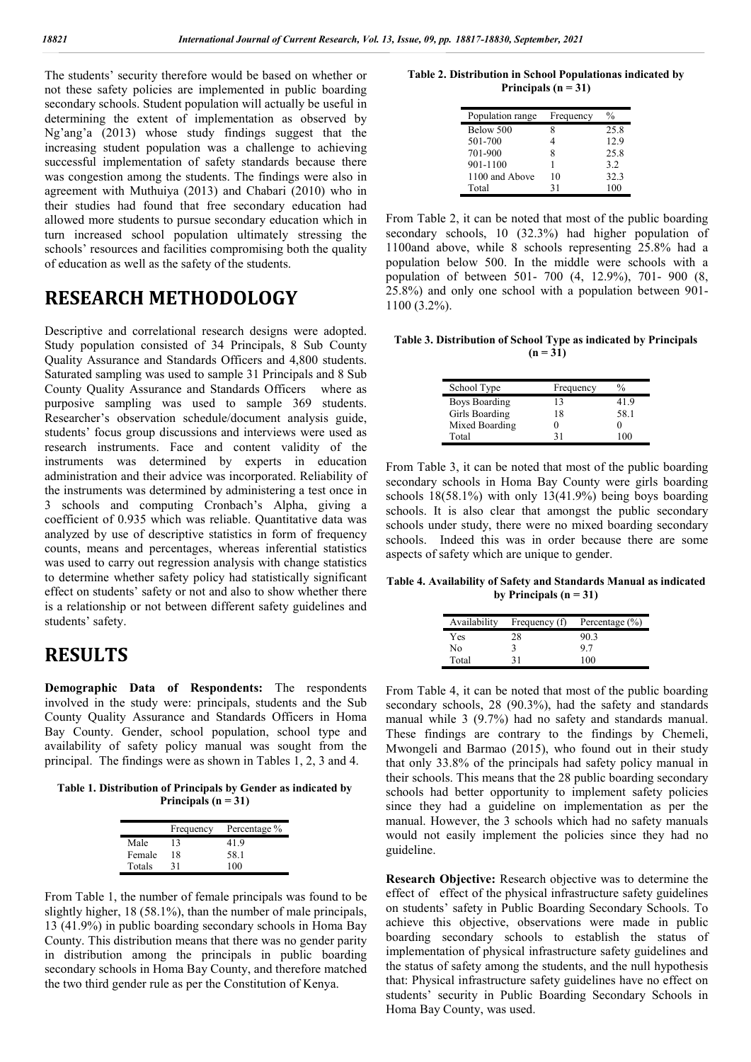The students' security therefore would be based on whether or not these safety policies are implemented in public boarding secondary schools. Student population will actually be useful in determining the extent of implementation as observed by Ng'ang'a (2013) whose study findings suggest that the increasing student population was a challenge to achieving successful implementation of safety standards because there was congestion among the students. The findings were also in agreement with Muthuiya (2013) and Chabari (2010) who in their studies had found that free secondary education had allowed more students to pursue secondary education which in turn increased school population ultimately stressing the schools' resources and facilities compromising both the quality of education as well as the safety of the students.

### **RESEARCH METHODOLOGY**

Descriptive and correlational research designs were adopted. Study population consisted of 34 Principals, 8 Sub County Quality Assurance and Standards Officers and 4,800 students. Saturated sampling was used to sample 31 Principals and 8 Sub County Quality Assurance and Standards Officers where as purposive sampling was used to sample 369 students. Researcher's observation schedule/document analysis guide, students' focus group discussions and interviews were used as research instruments. Face and content validity of the instruments was determined by experts in education administration and their advice was incorporated. Reliability of the instruments was determined by administering a test once in 3 schools and computing Cronbach's Alpha, giving a coefficient of 0.935 which was reliable. Quantitative data was analyzed by use of descriptive statistics in form of frequency counts, means and percentages, whereas inferential statistics was used to carry out regression analysis with change statistics to determine whether safety policy had statistically significant effect on students' safety or not and also to show whether there is a relationship or not between different safety guidelines and students' safety.

### **RESULTS**

**Demographic Data of Respondents:** The respondents involved in the study were: principals, students and the Sub County Quality Assurance and Standards Officers in Homa Bay County. Gender, school population, school type and availability of safety policy manual was sought from the principal. The findings were as shown in Tables 1, 2, 3 and 4.

**Table 1. Distribution of Principals by Gender as indicated by Principals (n = 31)**

|        | Frequency | Percentage % |
|--------|-----------|--------------|
| Male   | 13        | 41.9         |
| Female | 18        | 58.1         |
| Totals | 31        | 100          |

From Table 1, the number of female principals was found to be slightly higher, 18 (58.1%), than the number of male principals, 13 (41.9%) in public boarding secondary schools in Homa Bay County. This distribution means that there was no gender parity in distribution among the principals in public boarding secondary schools in Homa Bay County, and therefore matched the two third gender rule as per the Constitution of Kenya.

**Table 2. Distribution in School Populationas indicated by Principals (n = 31)**

| Population range | Frequency | $\frac{0}{0}$ |
|------------------|-----------|---------------|
| Below 500        |           | 25.8          |
| 501-700          |           | 12.9          |
| 701-900          | 8         | 25.8          |
| 901-1100         |           | 3.2           |
| 1100 and Above   | 10        | 32.3          |
| Total            | 31        | 100           |

From Table 2, it can be noted that most of the public boarding secondary schools, 10 (32.3%) had higher population of 1100and above, while 8 schools representing 25.8% had a population below 500. In the middle were schools with a population of between 501- 700 (4, 12.9%), 701- 900 (8, 25.8%) and only one school with a population between 901- 1100 (3.2%).

**Table 3. Distribution of School Type as indicated by Principals (n = 31)**

| School Type          | Frequency | $\frac{0}{0}$ |
|----------------------|-----------|---------------|
| <b>Boys Boarding</b> | 13        | 41.9          |
| Girls Boarding       | 18        | 58.1          |
| Mixed Boarding       |           |               |
| Total                | 21        |               |

From Table 3, it can be noted that most of the public boarding secondary schools in Homa Bay County were girls boarding schools 18(58.1%) with only 13(41.9%) being boys boarding schools. It is also clear that amongst the public secondary schools under study, there were no mixed boarding secondary schools. Indeed this was in order because there are some aspects of safety which are unique to gender.

**Table 4. Availability of Safety and Standards Manual as indicated**  by Principals  $(n = 31)$ 

| Availability | Frequency (f) | Percentage $(\% )$ |
|--------------|---------------|--------------------|
| Yes          | 28            | 90.3               |
| No           |               | 9.7                |
| Total        |               | 100                |

From Table 4, it can be noted that most of the public boarding secondary schools, 28 (90.3%), had the safety and standards manual while 3 (9.7%) had no safety and standards manual. These findings are contrary to the findings by Chemeli, Mwongeli and Barmao (2015), who found out in their study that only 33.8% of the principals had safety policy manual in their schools. This means that the 28 public boarding secondary schools had better opportunity to implement safety policies since they had a guideline on implementation as per the manual. However, the 3 schools which had no safety manuals would not easily implement the policies since they had no guideline.

**Research Objective:** Research objective was to determine the effect of effect of the physical infrastructure safety guidelines on students' safety in Public Boarding Secondary Schools. To achieve this objective, observations were made in public boarding secondary schools to establish the status of implementation of physical infrastructure safety guidelines and the status of safety among the students, and the null hypothesis that: Physical infrastructure safety guidelines have no effect on students' security in Public Boarding Secondary Schools in Homa Bay County, was used.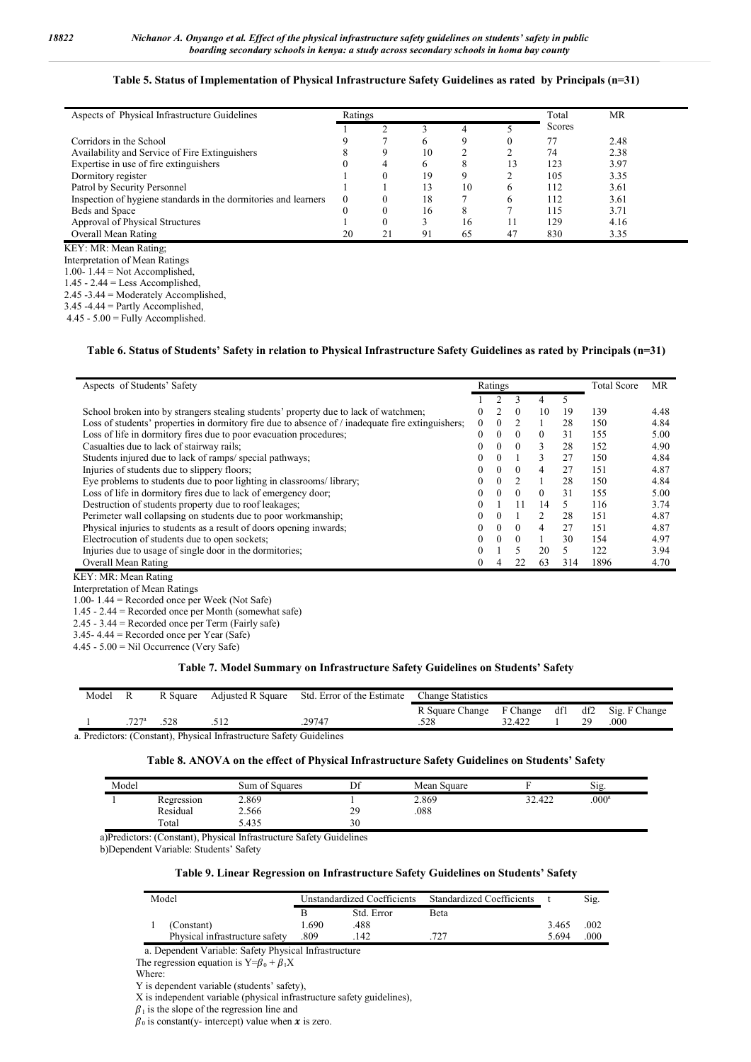#### **Table 5. Status of Implementation of Physical Infrastructure Safety Guidelines as rated by Principals (n=31)**

| Aspects of Physical Infrastructure Guidelines                   | Ratings  |          |    |    |    | Total  | MR   |
|-----------------------------------------------------------------|----------|----------|----|----|----|--------|------|
|                                                                 |          |          |    |    |    | Scores |      |
| Corridors in the School                                         |          |          |    | 9  |    | 77     | 2.48 |
| Availability and Service of Fire Extinguishers                  |          | 9        | 10 |    |    | 74     | 2.38 |
| Expertise in use of fire extinguishers                          |          | 4        |    | 8  |    | 123    | 3.97 |
| Dormitory register                                              |          |          | 19 | 9  |    | 105    | 3.35 |
| Patrol by Security Personnel                                    |          |          | 13 | 10 | 6  | 112    | 3.61 |
| Inspection of hygiene standards in the dormitories and learners | $\theta$ | $\theta$ | 18 |    | 6  | 112    | 3.61 |
| Beds and Space                                                  |          | $\theta$ | 16 | 8  |    | 115    | 3.71 |
| Approval of Physical Structures                                 |          | $\theta$ |    | 16 |    | 129    | 4.16 |
| Overall Mean Rating                                             | 20       | 21       | 91 | 65 | 47 | 830    | 3.35 |
| KEY: MR: Mean Rating:                                           |          |          |    |    |    |        |      |

Interpretation of Mean Ratings

1.00- 1.44 = Not Accomplished,

 $1.45 - 2.44 =$  Less Accomplished,

2.45 -3.44 = Moderately Accomplished,

3.45 -4.44 = Partly Accomplished,

 $4.45 - 5.00 =$  Fully Accomplished.

#### **Table 6. Status of Students' Safety in relation to Physical Infrastructure Safety Guidelines as rated by Principals (n=31)**

| Aspects of Students' Safety                                                                         |                  |          |          |                | <b>Total Score</b> | MR   |      |
|-----------------------------------------------------------------------------------------------------|------------------|----------|----------|----------------|--------------------|------|------|
|                                                                                                     |                  |          |          | 4              |                    |      |      |
| School broken into by strangers stealing students' property due to lack of watchmen;                | 0                |          | $\theta$ | 10             | 19                 | 139  | 4.48 |
| Loss of students' properties in dormitory fire due to absence of $/$ inadequate fire extinguishers; | $\boldsymbol{0}$ | 0        |          |                | 28                 | 150  | 4.84 |
| Loss of life in dormitory fires due to poor evacuation procedures;                                  | 0                | $\Omega$ | $\Omega$ | $\Omega$       | 31                 | 155  | 5.00 |
| Casualties due to lack of stairway rails;                                                           | 0                | 0        | $\theta$ | 3              | 28                 | 152  | 4.90 |
| Students injured due to lack of ramps/ special pathways;                                            | $\theta$         | $\Omega$ |          | 3              | 27                 | 150  | 4.84 |
| Injuries of students due to slippery floors;                                                        | 0                | $\Omega$ | $\Omega$ | 4              | 27                 | 151  | 4.87 |
| Eye problems to students due to poor lighting in classrooms/library;                                | 0                | $\left($ |          |                | 28                 | 150  | 4.84 |
| Loss of life in dormitory fires due to lack of emergency door;                                      | 0                | $\left($ | $\theta$ | $\Omega$       | 31                 | 155  | 5.00 |
| Destruction of students property due to roof leakages;                                              | $\Omega$         |          | 11       | 14             | 5                  | 116  | 3.74 |
| Perimeter wall collapsing on students due to poor workmanship;                                      | 0                | 0        |          | $\mathfrak{D}$ | 28                 | 151  | 4.87 |
| Physical injuries to students as a result of doors opening inwards;                                 | $\Omega$         | $\Omega$ | $\Omega$ | 4              | 27                 | 151  | 4.87 |
| Electrocution of students due to open sockets;                                                      | $\theta$         | $\theta$ | $\theta$ |                | 30                 | 154  | 4.97 |
| Injuries due to usage of single door in the dormitories;                                            | $\Omega$         |          |          | 20             |                    | 122  | 3.94 |
| Overall Mean Rating                                                                                 | 0                | 4        | 22       | 63             | 314                | 1896 | 4.70 |

KEY: MR: Mean Rating

Interpretation of Mean Ratings

1.00- 1.44 = Recorded once per Week (Not Safe)

1.45 - 2.44 = Recorded once per Month (somewhat safe)

2.45 - 3.44 = Recorded once per Term (Fairly safe)

3.45- 4.44 = Recorded once per Year (Safe)

 $4.45 - 5.00 =$  Nil Occurrence (Very Safe)

#### **Table 7. Model Summary on Infrastructure Safety Guidelines on Students' Safety**

| Model | R                                                                                                                                                                                                                                                                                                           | R Square | Adjusted R Square | Std. Error of the Estimate | <b>Change Statistics</b> |        |  |    |                       |  |
|-------|-------------------------------------------------------------------------------------------------------------------------------------------------------------------------------------------------------------------------------------------------------------------------------------------------------------|----------|-------------------|----------------------------|--------------------------|--------|--|----|-----------------------|--|
|       |                                                                                                                                                                                                                                                                                                             |          |                   |                            | R Square Change F Change |        |  |    | df1 df2 Sig. F Change |  |
|       | $727^a$                                                                                                                                                                                                                                                                                                     |          |                   | .29747                     |                          | 32.422 |  | 29 | .000                  |  |
|       | $\mathbf{D}$ , $\mathbf{D}$ , $\mathbf{D}$ , $\mathbf{D}$ , $\mathbf{D}$ , $\mathbf{D}$ , $\mathbf{D}$ , $\mathbf{D}$ , $\mathbf{D}$ , $\mathbf{D}$ , $\mathbf{D}$ , $\mathbf{D}$ , $\mathbf{D}$ , $\mathbf{D}$ , $\mathbf{D}$ , $\mathbf{D}$ , $\mathbf{D}$ , $\mathbf{D}$ , $\mathbf{D}$ , $\mathbf{D}$ , |          |                   |                            |                          |        |  |    |                       |  |

a. Predictors: (Constant), Physical Infrastructure Safety Guidelines

#### **Table 8. ANOVA on the effect of Physical Infrastructure Safety Guidelines on Students' Safety**

| Model |            | Sum of Squares | Df | Mean Square |        | <u>.</u><br>Sig.  |
|-------|------------|----------------|----|-------------|--------|-------------------|
|       | Regression | 2.869          |    | 2.869       | 32.422 | .000 <sup>a</sup> |
|       | Residual   | 2.566          | 29 | 088         |        |                   |
|       | Total      | 5.435          | 30 |             |        |                   |

a)Predictors: (Constant), Physical Infrastructure Safety Guidelines

b)Dependent Variable: Students' Safety

#### **Table 9. Linear Regression on Infrastructure Safety Guidelines on Students' Safety**

| Model |                                | Unstandardized Coefficients |            | Standardized Coefficients |       | Sig. |
|-------|--------------------------------|-----------------------------|------------|---------------------------|-------|------|
|       |                                |                             | Std. Error | <b>Beta</b>               |       |      |
|       | (Constant)                     | 1.690                       | 488        |                           | 3.465 | .002 |
|       | Physical infrastructure safety | .809                        | 142        | 777                       | 5.694 | .000 |

a. Dependent Variable: Safety Physical Infrastructure

The regression equation is  $Y = \beta_0 + \beta_1 X$ 

Where:

Y is dependent variable (students' safety),

X is independent variable (physical infrastructure safety guidelines),

 $\beta_1$  is the slope of the regression line and

 $\beta_0$  is constant(y- intercept) value when  $x$  is zero.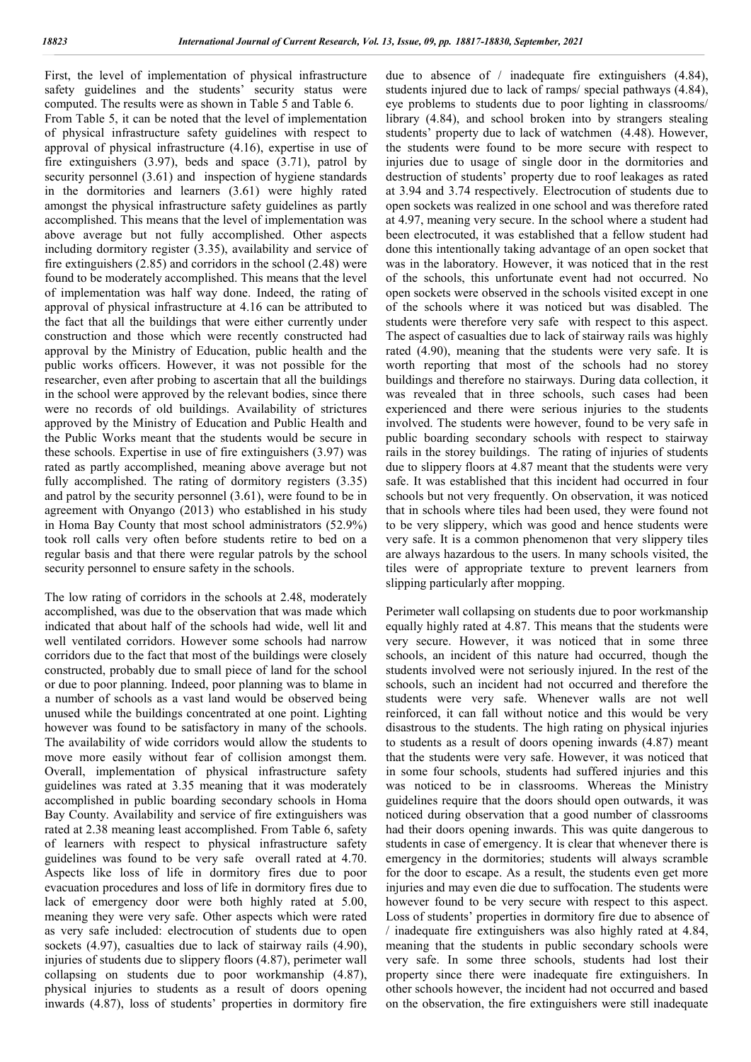First, the level of implementation of physical infrastructure safety guidelines and the students' security status were computed. The results were as shown in Table 5 and Table 6.

From Table 5, it can be noted that the level of implementation of physical infrastructure safety guidelines with respect to approval of physical infrastructure (4.16), expertise in use of fire extinguishers (3.97), beds and space (3.71), patrol by security personnel (3.61) and inspection of hygiene standards in the dormitories and learners (3.61) were highly rated amongst the physical infrastructure safety guidelines as partly accomplished. This means that the level of implementation was above average but not fully accomplished. Other aspects including dormitory register (3.35), availability and service of fire extinguishers (2.85) and corridors in the school (2.48) were found to be moderately accomplished. This means that the level of implementation was half way done. Indeed, the rating of approval of physical infrastructure at 4.16 can be attributed to the fact that all the buildings that were either currently under construction and those which were recently constructed had approval by the Ministry of Education, public health and the public works officers. However, it was not possible for the researcher, even after probing to ascertain that all the buildings in the school were approved by the relevant bodies, since there were no records of old buildings. Availability of strictures approved by the Ministry of Education and Public Health and the Public Works meant that the students would be secure in these schools. Expertise in use of fire extinguishers (3.97) was rated as partly accomplished, meaning above average but not fully accomplished. The rating of dormitory registers (3.35) and patrol by the security personnel (3.61), were found to be in agreement with Onyango (2013) who established in his study in Homa Bay County that most school administrators (52.9%) took roll calls very often before students retire to bed on a regular basis and that there were regular patrols by the school security personnel to ensure safety in the schools.

The low rating of corridors in the schools at 2.48, moderately accomplished, was due to the observation that was made which indicated that about half of the schools had wide, well lit and well ventilated corridors. However some schools had narrow corridors due to the fact that most of the buildings were closely constructed, probably due to small piece of land for the school or due to poor planning. Indeed, poor planning was to blame in a number of schools as a vast land would be observed being unused while the buildings concentrated at one point. Lighting however was found to be satisfactory in many of the schools. The availability of wide corridors would allow the students to move more easily without fear of collision amongst them. Overall, implementation of physical infrastructure safety guidelines was rated at 3.35 meaning that it was moderately accomplished in public boarding secondary schools in Homa Bay County. Availability and service of fire extinguishers was rated at 2.38 meaning least accomplished. From Table 6, safety of learners with respect to physical infrastructure safety guidelines was found to be very safe overall rated at 4.70. Aspects like loss of life in dormitory fires due to poor evacuation procedures and loss of life in dormitory fires due to lack of emergency door were both highly rated at 5.00, meaning they were very safe. Other aspects which were rated as very safe included: electrocution of students due to open sockets (4.97), casualties due to lack of stairway rails (4.90), injuries of students due to slippery floors  $(4.87)$ , perimeter wall collapsing on students due to poor workmanship (4.87), physical injuries to students as a result of doors opening inwards (4.87), loss of students' properties in dormitory fire

due to absence of / inadequate fire extinguishers (4.84), students injured due to lack of ramps/ special pathways (4.84), eye problems to students due to poor lighting in classrooms/ library (4.84), and school broken into by strangers stealing students' property due to lack of watchmen (4.48). However, the students were found to be more secure with respect to injuries due to usage of single door in the dormitories and destruction of students' property due to roof leakages as rated at 3.94 and 3.74 respectively. Electrocution of students due to open sockets was realized in one school and was therefore rated at 4.97, meaning very secure. In the school where a student had been electrocuted, it was established that a fellow student had done this intentionally taking advantage of an open socket that was in the laboratory. However, it was noticed that in the rest of the schools, this unfortunate event had not occurred. No open sockets were observed in the schools visited except in one of the schools where it was noticed but was disabled. The students were therefore very safe with respect to this aspect. The aspect of casualties due to lack of stairway rails was highly rated (4.90), meaning that the students were very safe. It is worth reporting that most of the schools had no storey buildings and therefore no stairways. During data collection, it was revealed that in three schools, such cases had been experienced and there were serious injuries to the students involved. The students were however, found to be very safe in public boarding secondary schools with respect to stairway rails in the storey buildings. The rating of injuries of students due to slippery floors at 4.87 meant that the students were very safe. It was established that this incident had occurred in four schools but not very frequently. On observation, it was noticed that in schools where tiles had been used, they were found not to be very slippery, which was good and hence students were very safe. It is a common phenomenon that very slippery tiles are always hazardous to the users. In many schools visited, the tiles were of appropriate texture to prevent learners from slipping particularly after mopping.

Perimeter wall collapsing on students due to poor workmanship equally highly rated at 4.87. This means that the students were very secure. However, it was noticed that in some three schools, an incident of this nature had occurred, though the students involved were not seriously injured. In the rest of the schools, such an incident had not occurred and therefore the students were very safe. Whenever walls are not well reinforced, it can fall without notice and this would be very disastrous to the students. The high rating on physical injuries to students as a result of doors opening inwards (4.87) meant that the students were very safe. However, it was noticed that in some four schools, students had suffered injuries and this was noticed to be in classrooms. Whereas the Ministry guidelines require that the doors should open outwards, it was noticed during observation that a good number of classrooms had their doors opening inwards. This was quite dangerous to students in case of emergency. It is clear that whenever there is emergency in the dormitories; students will always scramble for the door to escape. As a result, the students even get more injuries and may even die due to suffocation. The students were however found to be very secure with respect to this aspect. Loss of students' properties in dormitory fire due to absence of / inadequate fire extinguishers was also highly rated at 4.84, meaning that the students in public secondary schools were very safe. In some three schools, students had lost their property since there were inadequate fire extinguishers. In other schools however, the incident had not occurred and based on the observation, the fire extinguishers were still inadequate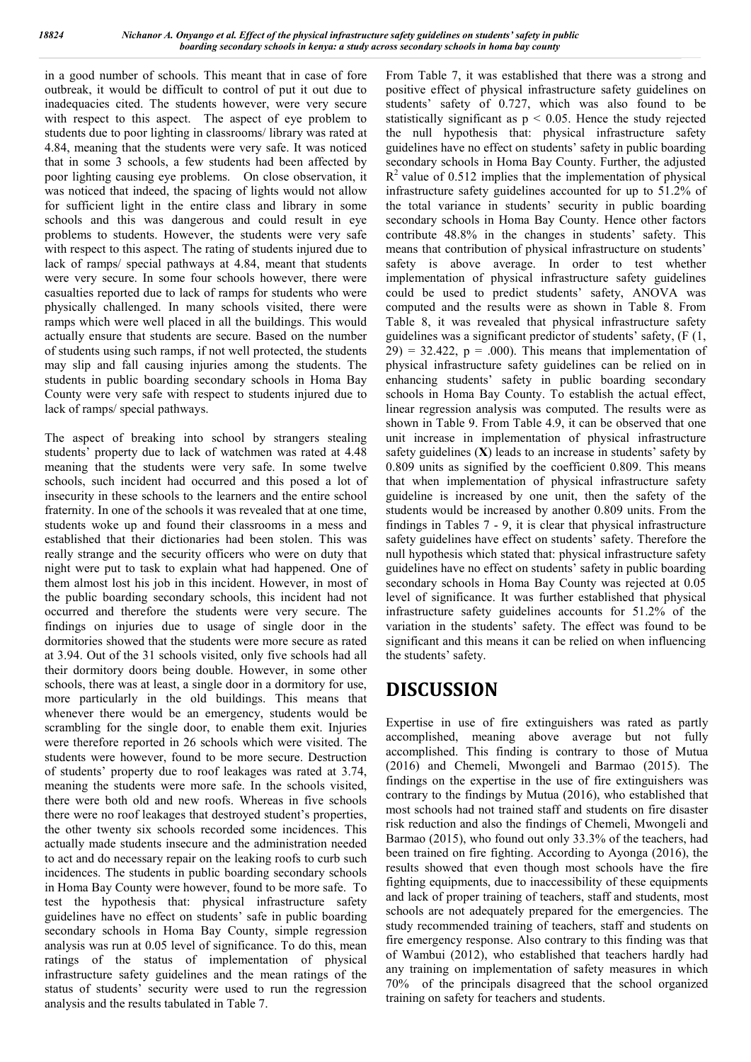in a good number of schools. This meant that in case of fore outbreak, it would be difficult to control of put it out due to inadequacies cited. The students however, were very secure with respect to this aspect. The aspect of eye problem to students due to poor lighting in classrooms/ library was rated at 4.84, meaning that the students were very safe. It was noticed that in some 3 schools, a few students had been affected by poor lighting causing eye problems. On close observation, it was noticed that indeed, the spacing of lights would not allow for sufficient light in the entire class and library in some schools and this was dangerous and could result in eye problems to students. However, the students were very safe with respect to this aspect. The rating of students injured due to lack of ramps/ special pathways at 4.84, meant that students were very secure. In some four schools however, there were casualties reported due to lack of ramps for students who were physically challenged. In many schools visited, there were ramps which were well placed in all the buildings. This would actually ensure that students are secure. Based on the number of students using such ramps, if not well protected, the students may slip and fall causing injuries among the students. The students in public boarding secondary schools in Homa Bay County were very safe with respect to students injured due to lack of ramps/ special pathways.

The aspect of breaking into school by strangers stealing students' property due to lack of watchmen was rated at 4.48 meaning that the students were very safe. In some twelve schools, such incident had occurred and this posed a lot of insecurity in these schools to the learners and the entire school fraternity. In one of the schools it was revealed that at one time, students woke up and found their classrooms in a mess and established that their dictionaries had been stolen. This was really strange and the security officers who were on duty that night were put to task to explain what had happened. One of them almost lost his job in this incident. However, in most of the public boarding secondary schools, this incident had not occurred and therefore the students were very secure. The findings on injuries due to usage of single door in the dormitories showed that the students were more secure as rated at 3.94. Out of the 31 schools visited, only five schools had all their dormitory doors being double. However, in some other schools, there was at least, a single door in a dormitory for use, more particularly in the old buildings. This means that whenever there would be an emergency, students would be scrambling for the single door, to enable them exit. Injuries were therefore reported in 26 schools which were visited. The students were however, found to be more secure. Destruction of students' property due to roof leakages was rated at 3.74, meaning the students were more safe. In the schools visited, there were both old and new roofs. Whereas in five schools there were no roof leakages that destroyed student's properties, the other twenty six schools recorded some incidences. This actually made students insecure and the administration needed to act and do necessary repair on the leaking roofs to curb such incidences. The students in public boarding secondary schools in Homa Bay County were however, found to be more safe. To test the hypothesis that: physical infrastructure safety guidelines have no effect on students' safe in public boarding secondary schools in Homa Bay County, simple regression analysis was run at 0.05 level of significance. To do this, mean ratings of the status of implementation of physical infrastructure safety guidelines and the mean ratings of the status of students' security were used to run the regression analysis and the results tabulated in Table 7.

From Table 7, it was established that there was a strong and positive effect of physical infrastructure safety guidelines on students' safety of 0.727, which was also found to be statistically significant as  $p \le 0.05$ . Hence the study rejected the null hypothesis that: physical infrastructure safety guidelines have no effect on students' safety in public boarding secondary schools in Homa Bay County. Further, the adjusted  $R<sup>2</sup>$  value of 0.512 implies that the implementation of physical infrastructure safety guidelines accounted for up to 51.2% of the total variance in students' security in public boarding secondary schools in Homa Bay County. Hence other factors contribute 48.8% in the changes in students' safety. This means that contribution of physical infrastructure on students' safety is above average. In order to test whether implementation of physical infrastructure safety guidelines could be used to predict students' safety, ANOVA was computed and the results were as shown in Table 8. From Table 8, it was revealed that physical infrastructure safety guidelines was a significant predictor of students' safety, (F (1,  $29$ ) = 32.422, p = .000). This means that implementation of physical infrastructure safety guidelines can be relied on in enhancing students' safety in public boarding secondary schools in Homa Bay County. To establish the actual effect, linear regression analysis was computed. The results were as shown in Table 9. From Table 4.9, it can be observed that one unit increase in implementation of physical infrastructure safety guidelines (**X**) leads to an increase in students' safety by 0.809 units as signified by the coefficient 0.809. This means that when implementation of physical infrastructure safety guideline is increased by one unit, then the safety of the students would be increased by another 0.809 units. From the findings in Tables 7 - 9, it is clear that physical infrastructure safety guidelines have effect on students' safety. Therefore the null hypothesis which stated that: physical infrastructure safety guidelines have no effect on students' safety in public boarding secondary schools in Homa Bay County was rejected at 0.05 level of significance. It was further established that physical infrastructure safety guidelines accounts for 51.2% of the variation in the students' safety. The effect was found to be significant and this means it can be relied on when influencing the students' safety.

### **DISCUSSION**

Expertise in use of fire extinguishers was rated as partly accomplished, meaning above average but not fully accomplished. This finding is contrary to those of Mutua (2016) and Chemeli, Mwongeli and Barmao (2015). The findings on the expertise in the use of fire extinguishers was contrary to the findings by Mutua (2016), who established that most schools had not trained staff and students on fire disaster risk reduction and also the findings of Chemeli, Mwongeli and Barmao (2015), who found out only 33.3% of the teachers, had been trained on fire fighting. According to Ayonga (2016), the results showed that even though most schools have the fire fighting equipments, due to inaccessibility of these equipments and lack of proper training of teachers, staff and students, most schools are not adequately prepared for the emergencies. The study recommended training of teachers, staff and students on fire emergency response. Also contrary to this finding was that of Wambui (2012), who established that teachers hardly had any training on implementation of safety measures in which 70% of the principals disagreed that the school organized training on safety for teachers and students.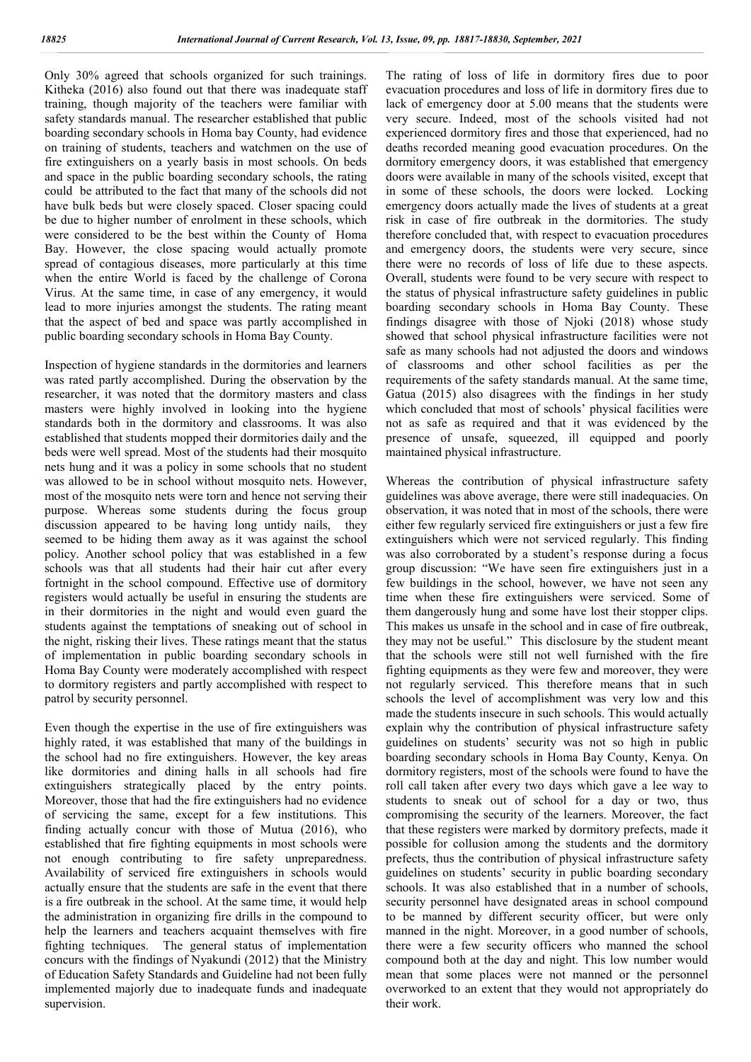Only 30% agreed that schools organized for such trainings. Kitheka (2016) also found out that there was inadequate staff training, though majority of the teachers were familiar with safety standards manual. The researcher established that public boarding secondary schools in Homa bay County, had evidence on training of students, teachers and watchmen on the use of fire extinguishers on a yearly basis in most schools. On beds and space in the public boarding secondary schools, the rating could be attributed to the fact that many of the schools did not have bulk beds but were closely spaced. Closer spacing could be due to higher number of enrolment in these schools, which were considered to be the best within the County of Homa Bay. However, the close spacing would actually promote spread of contagious diseases, more particularly at this time when the entire World is faced by the challenge of Corona Virus. At the same time, in case of any emergency, it would lead to more injuries amongst the students. The rating meant that the aspect of bed and space was partly accomplished in public boarding secondary schools in Homa Bay County.

Inspection of hygiene standards in the dormitories and learners was rated partly accomplished. During the observation by the researcher, it was noted that the dormitory masters and class masters were highly involved in looking into the hygiene standards both in the dormitory and classrooms. It was also established that students mopped their dormitories daily and the beds were well spread. Most of the students had their mosquito nets hung and it was a policy in some schools that no student was allowed to be in school without mosquito nets. However, most of the mosquito nets were torn and hence not serving their purpose. Whereas some students during the focus group discussion appeared to be having long untidy nails, they seemed to be hiding them away as it was against the school policy. Another school policy that was established in a few schools was that all students had their hair cut after every fortnight in the school compound. Effective use of dormitory registers would actually be useful in ensuring the students are in their dormitories in the night and would even guard the students against the temptations of sneaking out of school in the night, risking their lives. These ratings meant that the status of implementation in public boarding secondary schools in Homa Bay County were moderately accomplished with respect to dormitory registers and partly accomplished with respect to patrol by security personnel.

Even though the expertise in the use of fire extinguishers was highly rated, it was established that many of the buildings in the school had no fire extinguishers. However, the key areas like dormitories and dining halls in all schools had fire extinguishers strategically placed by the entry points. Moreover, those that had the fire extinguishers had no evidence of servicing the same, except for a few institutions. This finding actually concur with those of Mutua (2016), who established that fire fighting equipments in most schools were not enough contributing to fire safety unpreparedness. Availability of serviced fire extinguishers in schools would actually ensure that the students are safe in the event that there is a fire outbreak in the school. At the same time, it would help the administration in organizing fire drills in the compound to help the learners and teachers acquaint themselves with fire fighting techniques. The general status of implementation concurs with the findings of Nyakundi (2012) that the Ministry of Education Safety Standards and Guideline had not been fully implemented majorly due to inadequate funds and inadequate supervision.

The rating of loss of life in dormitory fires due to poor evacuation procedures and loss of life in dormitory fires due to lack of emergency door at 5.00 means that the students were very secure. Indeed, most of the schools visited had not experienced dormitory fires and those that experienced, had no deaths recorded meaning good evacuation procedures. On the dormitory emergency doors, it was established that emergency doors were available in many of the schools visited, except that in some of these schools, the doors were locked. Locking emergency doors actually made the lives of students at a great risk in case of fire outbreak in the dormitories. The study therefore concluded that, with respect to evacuation procedures and emergency doors, the students were very secure, since there were no records of loss of life due to these aspects. Overall, students were found to be very secure with respect to the status of physical infrastructure safety guidelines in public boarding secondary schools in Homa Bay County. These findings disagree with those of Njoki (2018) whose study showed that school physical infrastructure facilities were not safe as many schools had not adjusted the doors and windows of classrooms and other school facilities as per the requirements of the safety standards manual. At the same time, Gatua (2015) also disagrees with the findings in her study which concluded that most of schools' physical facilities were not as safe as required and that it was evidenced by the presence of unsafe, squeezed, ill equipped and poorly maintained physical infrastructure.

Whereas the contribution of physical infrastructure safety guidelines was above average, there were still inadequacies. On observation, it was noted that in most of the schools, there were either few regularly serviced fire extinguishers or just a few fire extinguishers which were not serviced regularly. This finding was also corroborated by a student's response during a focus group discussion: "We have seen fire extinguishers just in a few buildings in the school, however, we have not seen any time when these fire extinguishers were serviced. Some of them dangerously hung and some have lost their stopper clips. This makes us unsafe in the school and in case of fire outbreak, they may not be useful." This disclosure by the student meant that the schools were still not well furnished with the fire fighting equipments as they were few and moreover, they were not regularly serviced. This therefore means that in such schools the level of accomplishment was very low and this made the students insecure in such schools. This would actually explain why the contribution of physical infrastructure safety guidelines on students' security was not so high in public boarding secondary schools in Homa Bay County, Kenya. On dormitory registers, most of the schools were found to have the roll call taken after every two days which gave a lee way to students to sneak out of school for a day or two, thus compromising the security of the learners. Moreover, the fact that these registers were marked by dormitory prefects, made it possible for collusion among the students and the dormitory prefects, thus the contribution of physical infrastructure safety guidelines on students' security in public boarding secondary schools. It was also established that in a number of schools, security personnel have designated areas in school compound to be manned by different security officer, but were only manned in the night. Moreover, in a good number of schools, there were a few security officers who manned the school compound both at the day and night. This low number would mean that some places were not manned or the personnel overworked to an extent that they would not appropriately do their work.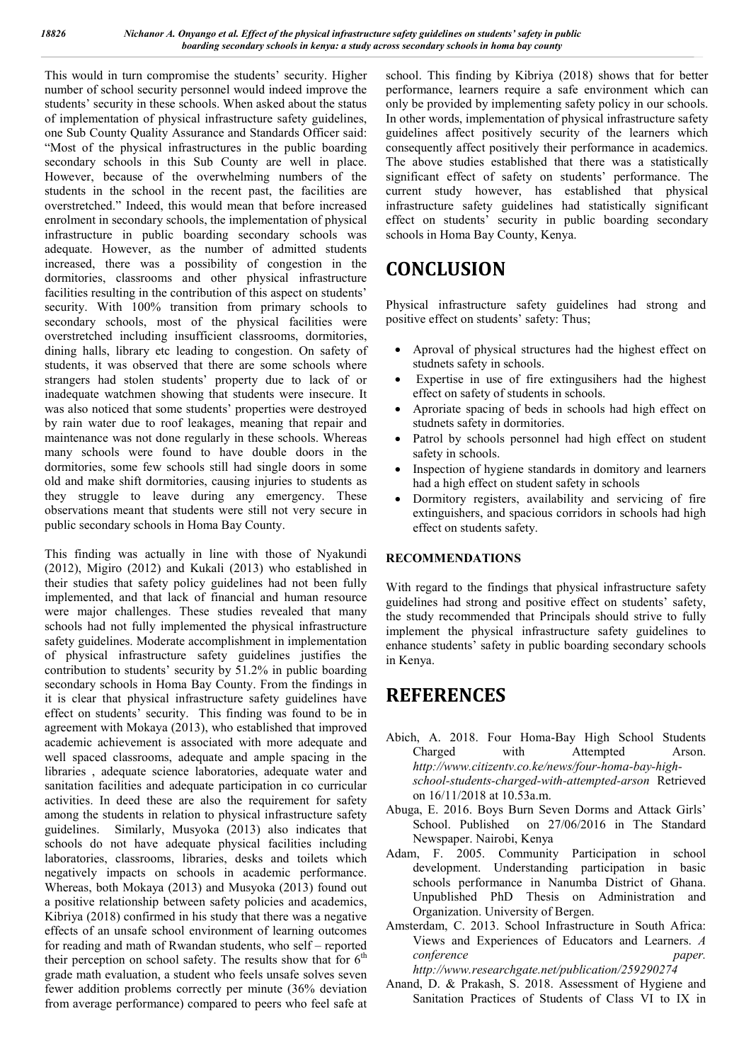This would in turn compromise the students' security. Higher number of school security personnel would indeed improve the students' security in these schools. When asked about the status of implementation of physical infrastructure safety guidelines, one Sub County Quality Assurance and Standards Officer said: "Most of the physical infrastructures in the public boarding secondary schools in this Sub County are well in place. However, because of the overwhelming numbers of the students in the school in the recent past, the facilities are overstretched." Indeed, this would mean that before increased enrolment in secondary schools, the implementation of physical infrastructure in public boarding secondary schools was adequate. However, as the number of admitted students increased, there was a possibility of congestion in the dormitories, classrooms and other physical infrastructure facilities resulting in the contribution of this aspect on students' security. With 100% transition from primary schools to secondary schools, most of the physical facilities were overstretched including insufficient classrooms, dormitories, dining halls, library etc leading to congestion. On safety of students, it was observed that there are some schools where strangers had stolen students' property due to lack of or inadequate watchmen showing that students were insecure. It was also noticed that some students' properties were destroyed by rain water due to roof leakages, meaning that repair and maintenance was not done regularly in these schools. Whereas many schools were found to have double doors in the dormitories, some few schools still had single doors in some old and make shift dormitories, causing injuries to students as they struggle to leave during any emergency. These observations meant that students were still not very secure in public secondary schools in Homa Bay County.

This finding was actually in line with those of Nyakundi (2012), Migiro (2012) and Kukali (2013) who established in their studies that safety policy guidelines had not been fully implemented, and that lack of financial and human resource were major challenges. These studies revealed that many schools had not fully implemented the physical infrastructure safety guidelines. Moderate accomplishment in implementation of physical infrastructure safety guidelines justifies the contribution to students' security by 51.2% in public boarding secondary schools in Homa Bay County. From the findings in it is clear that physical infrastructure safety guidelines have effect on students' security. This finding was found to be in agreement with Mokaya (2013), who established that improved academic achievement is associated with more adequate and well spaced classrooms, adequate and ample spacing in the libraries , adequate science laboratories, adequate water and sanitation facilities and adequate participation in co curricular activities. In deed these are also the requirement for safety among the students in relation to physical infrastructure safety guidelines. Similarly, Musyoka (2013) also indicates that schools do not have adequate physical facilities including laboratories, classrooms, libraries, desks and toilets which negatively impacts on schools in academic performance. Whereas, both Mokaya (2013) and Musyoka (2013) found out a positive relationship between safety policies and academics, Kibriya (2018) confirmed in his study that there was a negative effects of an unsafe school environment of learning outcomes for reading and math of Rwandan students, who self – reported their perception on school safety. The results show that for  $6<sup>th</sup>$ grade math evaluation, a student who feels unsafe solves seven fewer addition problems correctly per minute (36% deviation from average performance) compared to peers who feel safe at school. This finding by Kibriya (2018) shows that for better performance, learners require a safe environment which can only be provided by implementing safety policy in our schools. In other words, implementation of physical infrastructure safety guidelines affect positively security of the learners which consequently affect positively their performance in academics. The above studies established that there was a statistically significant effect of safety on students' performance. The current study however, has established that physical infrastructure safety guidelines had statistically significant effect on students' security in public boarding secondary schools in Homa Bay County, Kenya.

## **CONCLUSION**

Physical infrastructure safety guidelines had strong and positive effect on students' safety: Thus;

- Aproval of physical structures had the highest effect on studnets safety in schools.
- Expertise in use of fire extingusihers had the highest effect on safety of students in schools.
- Aproriate spacing of beds in schools had high effect on studnets safety in dormitories.
- Patrol by schools personnel had high effect on student safety in schools.
- Inspection of hygiene standards in domitory and learners had a high effect on student safety in schools
- Dormitory registers, availability and servicing of fire extinguishers, and spacious corridors in schools had high effect on students safety.

### **RECOMMENDATIONS**

With regard to the findings that physical infrastructure safety guidelines had strong and positive effect on students' safety, the study recommended that Principals should strive to fully implement the physical infrastructure safety guidelines to enhance students' safety in public boarding secondary schools in Kenya.

### **REFERENCES**

- Abich, A. 2018. Four Homa-Bay High School Students<br>Charged with Attempted Arson. with Attempted Arson. *http://www.citizentv.co.ke/news/four-homa-bay-highschool-students-charged-with-attempted-arson* Retrieved on 16/11/2018 at 10.53a.m.
- Abuga, E. 2016. Boys Burn Seven Dorms and Attack Girls' School. Published on 27/06/2016 in The Standard Newspaper. Nairobi, Kenya
- Adam, F. 2005. Community Participation in school development. Understanding participation in basic schools performance in Nanumba District of Ghana. Unpublished PhD Thesis on Administration and Organization. University of Bergen.
- Amsterdam, C. 2013. School Infrastructure in South Africa: Views and Experiences of Educators and Learners. *A conference paper. http://www.researchgate.net/publication/259290274*
- Anand, D. & Prakash, S. 2018. Assessment of Hygiene and Sanitation Practices of Students of Class VI to IX in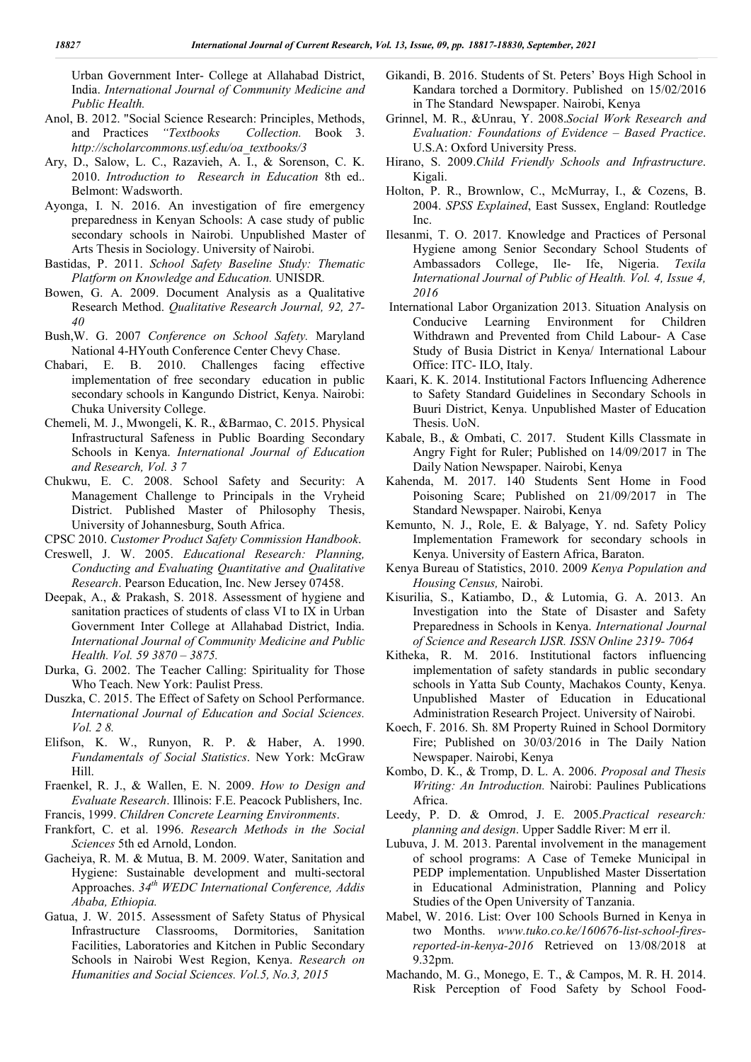Urban Government Inter- College at Allahabad District, India. *International Journal of Community Medicine and Public Health.*

- Anol, B. 2012. "Social Science Research: Principles, Methods, and Practices *"Textbooks Collection.* Book 3. *http://scholarcommons.usf.edu/oa\_textbooks/3*
- Ary, D., Salow, L. C., Razavieh, A. I., & Sorenson, C. K. 2010. *Introduction to Research in Education* 8th ed.. Belmont: Wadsworth.
- Ayonga, I. N. 2016. An investigation of fire emergency preparedness in Kenyan Schools: A case study of public secondary schools in Nairobi. Unpublished Master of Arts Thesis in Sociology. University of Nairobi.
- Bastidas, P. 2011. *School Safety Baseline Study: Thematic Platform on Knowledge and Education.* UNISDR*.*
- Bowen, G. A. 2009. Document Analysis as a Qualitative Research Method. *Qualitative Research Journal, 92, 27- 40*
- Bush,W. G. 2007 *Conference on School Safety.* Maryland National 4-HYouth Conference Center Chevy Chase.
- Chabari, E. B. 2010. Challenges facing effective implementation of free secondary education in public secondary schools in Kangundo District, Kenya. Nairobi: Chuka University College.
- Chemeli, M. J., Mwongeli, K. R., &Barmao, C. 2015. Physical Infrastructural Safeness in Public Boarding Secondary Schools in Kenya. *International Journal of Education and Research, Vol. 3 7*
- Chukwu, E. C. 2008. School Safety and Security: A Management Challenge to Principals in the Vryheid District. Published Master of Philosophy Thesis, University of Johannesburg, South Africa.
- CPSC 2010. *Customer Product Safety Commission Handbook*.
- Creswell, J. W. 2005. *Educational Research: Planning, Conducting and Evaluating Quantitative and Qualitative Research*. Pearson Education, Inc. New Jersey 07458.
- Deepak, A., & Prakash, S. 2018. Assessment of hygiene and sanitation practices of students of class VI to IX in Urban Government Inter College at Allahabad District, India. *International Journal of Community Medicine and Public Health. Vol. 59 3870 – 3875.*
- Durka, G. 2002. The Teacher Calling: Spirituality for Those Who Teach. New York: Paulist Press.
- Duszka, C. 2015. The Effect of Safety on School Performance. *International Journal of Education and Social Sciences. Vol. 2 8.*
- Elifson, K. W., Runyon, R. P. & Haber, A. 1990. *Fundamentals of Social Statistics*. New York: McGraw Hill.
- Fraenkel, R. J., & Wallen, E. N. 2009. *How to Design and Evaluate Research*. Illinois: F.E. Peacock Publishers, Inc. Francis, 1999. *Children Concrete Learning Environments*.
- Frankfort, C. et al. 1996. *Research Methods in the Social Sciences* 5th ed Arnold, London.
- Gacheiya, R. M. & Mutua, B. M. 2009. Water, Sanitation and Hygiene: Sustainable development and multi-sectoral Approaches. *34th WEDC International Conference, Addis Ababa, Ethiopia.*
- Gatua, J. W. 2015. Assessment of Safety Status of Physical Infrastructure Classrooms, Dormitories, Sanitation Facilities, Laboratories and Kitchen in Public Secondary Schools in Nairobi West Region, Kenya. *Research on Humanities and Social Sciences. Vol.5, No.3, 2015*
- Gikandi, B. 2016. Students of St. Peters' Boys High School in Kandara torched a Dormitory. Published on 15/02/2016 in The Standard Newspaper. Nairobi, Kenya
- Grinnel, M. R., &Unrau, Y. 2008.*Social Work Research and Evaluation: Foundations of Evidence – Based Practice*. U.S.A: Oxford University Press.
- Hirano, S. 2009.*Child Friendly Schools and Infrastructure*. Kigali.
- Holton, P. R., Brownlow, C., McMurray, I., & Cozens, B. 2004. *SPSS Explained*, East Sussex, England: Routledge Inc.
- Ilesanmi, T. O. 2017. Knowledge and Practices of Personal Hygiene among Senior Secondary School Students of Ambassadors College, Ile- Ife, Nigeria. *Texila International Journal of Public of Health. Vol. 4, Issue 4, 2016*
- International Labor Organization 2013. Situation Analysis on Conducive Learning Environment for Children Withdrawn and Prevented from Child Labour- A Case Study of Busia District in Kenya/ International Labour Office: ITC- ILO, Italy.
- Kaari, K. K. 2014. Institutional Factors Influencing Adherence to Safety Standard Guidelines in Secondary Schools in Buuri District, Kenya. Unpublished Master of Education Thesis. UoN.
- Kabale, B., & Ombati, C. 2017. Student Kills Classmate in Angry Fight for Ruler; Published on 14/09/2017 in The Daily Nation Newspaper. Nairobi, Kenya
- Kahenda, M. 2017. 140 Students Sent Home in Food Poisoning Scare; Published on 21/09/2017 in The Standard Newspaper. Nairobi, Kenya
- Kemunto, N. J., Role, E. & Balyage, Y. nd. Safety Policy Implementation Framework for secondary schools in Kenya. University of Eastern Africa, Baraton.
- Kenya Bureau of Statistics, 2010. 2009 *Kenya Population and Housing Census,* Nairobi.
- Kisurilia, S., Katiambo, D., & Lutomia, G. A. 2013. An Investigation into the State of Disaster and Safety Preparedness in Schools in Kenya. *International Journal of Science and Research IJSR. ISSN Online 2319- 7064*
- Kitheka, R. M. 2016. Institutional factors influencing implementation of safety standards in public secondary schools in Yatta Sub County, Machakos County, Kenya. Unpublished Master of Education in Educational Administration Research Project. University of Nairobi.
- Koech, F. 2016. Sh. 8M Property Ruined in School Dormitory Fire; Published on 30/03/2016 in The Daily Nation Newspaper. Nairobi, Kenya
- Kombo, D. K., & Tromp, D. L. A. 2006. *Proposal and Thesis Writing: An Introduction.* Nairobi: Paulines Publications Africa.
- Leedy, P. D. & Omrod, J. E. 2005.*Practical research: planning and design*. Upper Saddle River: M err il.
- Lubuva, J. M. 2013. Parental involvement in the management of school programs: A Case of Temeke Municipal in PEDP implementation. Unpublished Master Dissertation in Educational Administration, Planning and Policy Studies of the Open University of Tanzania.
- Mabel, W. 2016. List: Over 100 Schools Burned in Kenya in two Months. *www.tuko.co.ke/160676-list-school-firesreported-in-kenya-2016* Retrieved on 13/08/2018 at 9.32pm.
- Machando, M. G., Monego, E. T., & Campos, M. R. H. 2014. Risk Perception of Food Safety by School Food-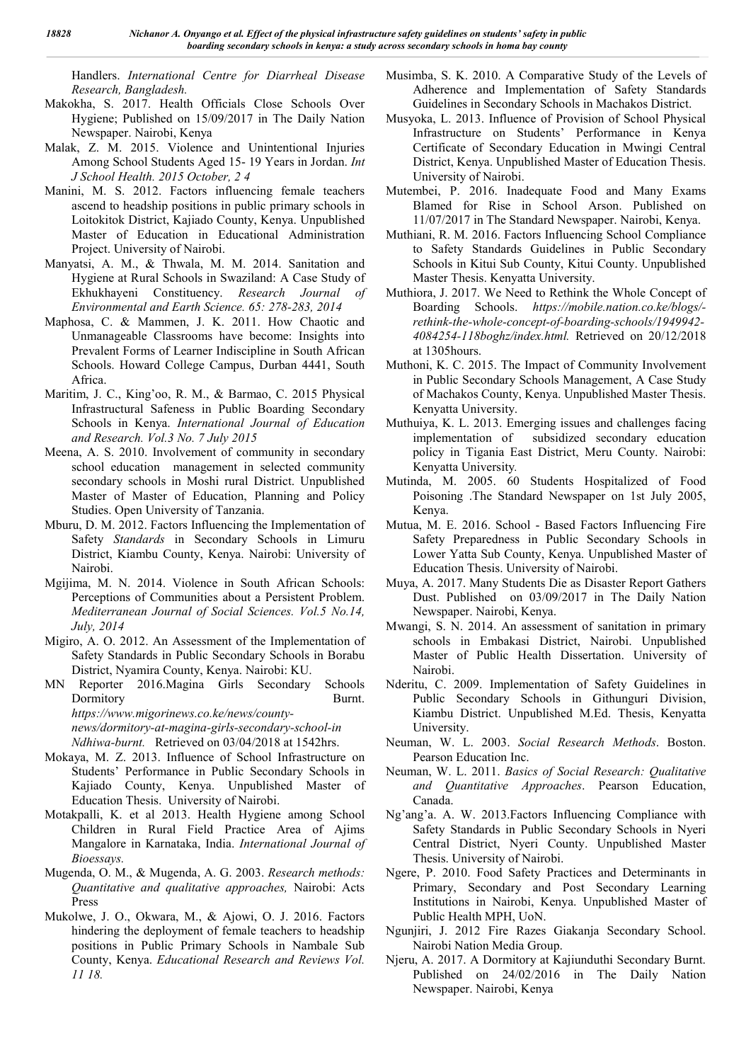Handlers. *International Centre for Diarrheal Disease Research, Bangladesh.*

- Makokha, S. 2017. Health Officials Close Schools Over Hygiene; Published on 15/09/2017 in The Daily Nation Newspaper. Nairobi, Kenya
- Malak, Z. M. 2015. Violence and Unintentional Injuries Among School Students Aged 15- 19 Years in Jordan. *Int J School Health. 2015 October, 2 4*
- Manini, M. S. 2012. Factors influencing female teachers ascend to headship positions in public primary schools in Loitokitok District, Kajiado County, Kenya. Unpublished Master of Education in Educational Administration Project. University of Nairobi.
- Manyatsi, A. M., & Thwala, M. M. 2014. Sanitation and Hygiene at Rural Schools in Swaziland: A Case Study of Ekhukhayeni Constituency. *Research Journal of Environmental and Earth Science. 65: 278-283, 2014*
- Maphosa, C. & Mammen, J. K. 2011. How Chaotic and Unmanageable Classrooms have become: Insights into Prevalent Forms of Learner Indiscipline in South African Schools. Howard College Campus, Durban 4441, South Africa.
- Maritim, J. C., King'oo, R. M., & Barmao, C. 2015 Physical Infrastructural Safeness in Public Boarding Secondary Schools in Kenya. *International Journal of Education and Research. Vol.3 No. 7 July 2015*
- Meena, A. S. 2010. Involvement of community in secondary school education management in selected community secondary schools in Moshi rural District. Unpublished Master of Master of Education, Planning and Policy Studies. Open University of Tanzania.
- Mburu, D. M. 2012. Factors Influencing the Implementation of Safety *Standards* in Secondary Schools in Limuru District, Kiambu County, Kenya. Nairobi: University of Nairobi.
- Mgijima, M. N. 2014. Violence in South African Schools: Perceptions of Communities about a Persistent Problem. *Mediterranean Journal of Social Sciences. Vol.5 No.14, July, 2014*
- Migiro, A. O. 2012. An Assessment of the Implementation of Safety Standards in Public Secondary Schools in Borabu District, Nyamira County, Kenya. Nairobi: KU.
- MN Reporter 2016.Magina Girls Secondary Schools Dormitory Burnt. *https://www.migorinews.co.ke/news/countynews/dormitory-at-magina-girls-secondary-school-in Ndhiwa-burnt.* Retrieved on 03/04/2018 at 1542hrs.
- Mokaya, M. Z. 2013. Influence of School Infrastructure on Students' Performance in Public Secondary Schools in Kajiado County, Kenya. Unpublished Master of Education Thesis. University of Nairobi.
- Motakpalli, K. et al 2013. Health Hygiene among School Children in Rural Field Practice Area of Ajims Mangalore in Karnataka, India. *International Journal of Bioessays.*
- Mugenda, O. M., & Mugenda, A. G. 2003. *Research methods: Quantitative and qualitative approaches,* Nairobi: Acts Press
- Mukolwe, J. O., Okwara, M., & Ajowi, O. J. 2016. Factors hindering the deployment of female teachers to headship positions in Public Primary Schools in Nambale Sub County, Kenya. *Educational Research and Reviews Vol. 11 18.*
- Musimba, S. K. 2010. A Comparative Study of the Levels of Adherence and Implementation of Safety Standards Guidelines in Secondary Schools in Machakos District.
- Musyoka, L. 2013. Influence of Provision of School Physical Infrastructure on Students' Performance in Kenya Certificate of Secondary Education in Mwingi Central District, Kenya. Unpublished Master of Education Thesis. University of Nairobi.
- Mutembei, P. 2016. Inadequate Food and Many Exams Blamed for Rise in School Arson. Published on 11/07/2017 in The Standard Newspaper. Nairobi, Kenya.
- Muthiani, R. M. 2016. Factors Influencing School Compliance to Safety Standards Guidelines in Public Secondary Schools in Kitui Sub County, Kitui County. Unpublished Master Thesis. Kenyatta University.
- Muthiora, J. 2017. We Need to Rethink the Whole Concept of Boarding Schools. *https://mobile.nation.co.ke/blogs/ rethink-the-whole-concept-of-boarding-schools/1949942- 4084254-118boghz/index.html.* Retrieved on 20/12/2018 at 1305hours.
- Muthoni, K. C. 2015. The Impact of Community Involvement in Public Secondary Schools Management, A Case Study of Machakos County, Kenya. Unpublished Master Thesis. Kenyatta University.
- Muthuiya, K. L. 2013. Emerging issues and challenges facing implementation of subsidized secondary education policy in Tigania East District, Meru County. Nairobi: Kenyatta University*.*
- Mutinda, M. 2005. 60 Students Hospitalized of Food Poisoning .The Standard Newspaper on 1st July 2005, Kenya.
- Mutua, M. E. 2016. School Based Factors Influencing Fire Safety Preparedness in Public Secondary Schools in Lower Yatta Sub County, Kenya. Unpublished Master of Education Thesis. University of Nairobi.
- Muya, A. 2017. Many Students Die as Disaster Report Gathers Dust. Published on 03/09/2017 in The Daily Nation Newspaper. Nairobi, Kenya.
- Mwangi, S. N. 2014. An assessment of sanitation in primary schools in Embakasi District, Nairobi. Unpublished Master of Public Health Dissertation. University of Nairobi.
- Nderitu, C. 2009. Implementation of Safety Guidelines in Public Secondary Schools in Githunguri Division, Kiambu District. Unpublished M.Ed. Thesis, Kenyatta University.
- Neuman, W. L. 2003. *Social Research Methods*. Boston. Pearson Education Inc.
- Neuman, W. L. 2011. *Basics of Social Research: Qualitative and Quantitative Approaches*. Pearson Education, Canada.
- Ng'ang'a. A. W. 2013.Factors Influencing Compliance with Safety Standards in Public Secondary Schools in Nyeri Central District, Nyeri County. Unpublished Master Thesis. University of Nairobi.
- Ngere, P. 2010. Food Safety Practices and Determinants in Primary, Secondary and Post Secondary Learning Institutions in Nairobi, Kenya. Unpublished Master of Public Health MPH, UoN.
- Ngunjiri, J. 2012 Fire Razes Giakanja Secondary School. Nairobi Nation Media Group.
- Njeru, A. 2017. A Dormitory at Kajiunduthi Secondary Burnt. Published on 24/02/2016 in The Daily Nation Newspaper. Nairobi, Kenya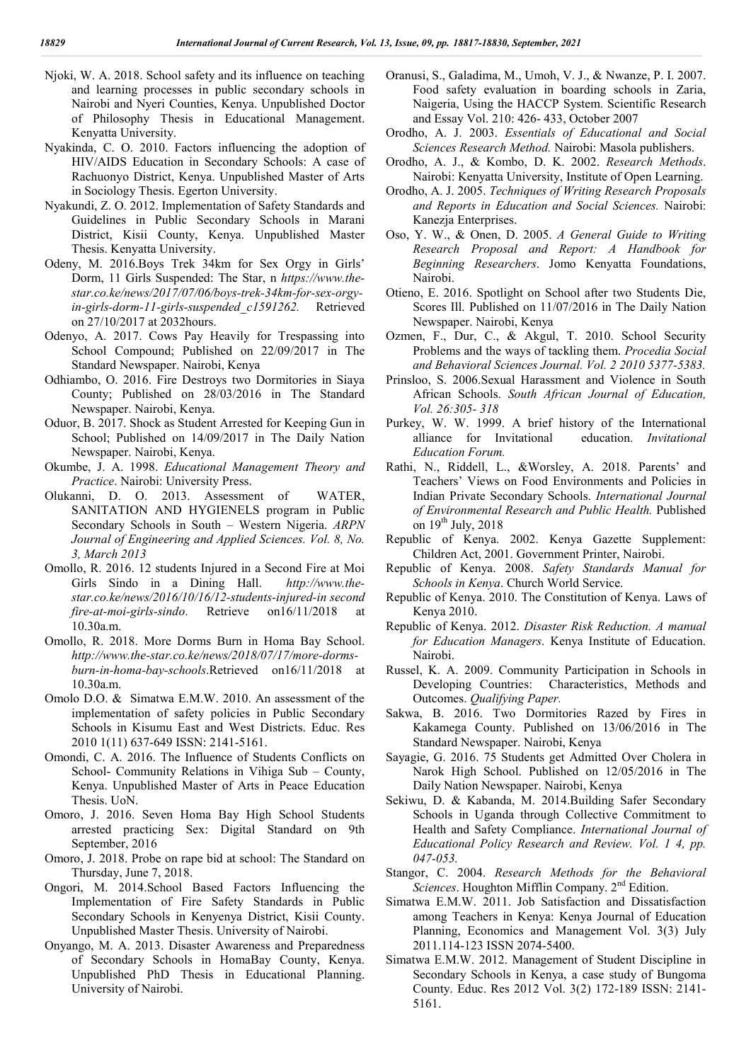- Njoki, W. A. 2018. School safety and its influence on teaching and learning processes in public secondary schools in Nairobi and Nyeri Counties, Kenya. Unpublished Doctor of Philosophy Thesis in Educational Management. Kenyatta University.
- Nyakinda, C. O. 2010. Factors influencing the adoption of HIV/AIDS Education in Secondary Schools: A case of Rachuonyo District, Kenya. Unpublished Master of Arts in Sociology Thesis. Egerton University.
- Nyakundi, Z. O. 2012. Implementation of Safety Standards and Guidelines in Public Secondary Schools in Marani District, Kisii County, Kenya. Unpublished Master Thesis. Kenyatta University.
- Odeny, M. 2016.Boys Trek 34km for Sex Orgy in Girls' Dorm, 11 Girls Suspended: The Star, n *https://www.thestar.co.ke/news/2017/07/06/boys-trek-34km-for-sex-orgyin-girls-dorm-11-girls-suspended\_c1591262.* Retrieved on 27/10/2017 at 2032hours.
- Odenyo, A. 2017. Cows Pay Heavily for Trespassing into School Compound; Published on 22/09/2017 in The Standard Newspaper. Nairobi, Kenya
- Odhiambo, O. 2016. Fire Destroys two Dormitories in Siaya County; Published on 28/03/2016 in The Standard Newspaper. Nairobi, Kenya.
- Oduor, B. 2017. Shock as Student Arrested for Keeping Gun in School; Published on 14/09/2017 in The Daily Nation Newspaper. Nairobi, Kenya.
- Okumbe, J. A. 1998. *Educational Management Theory and Practice*. Nairobi: University Press.
- Olukanni, D. O. 2013. Assessment of WATER, SANITATION AND HYGIENELS program in Public Secondary Schools in South – Western Nigeria. *ARPN Journal of Engineering and Applied Sciences. Vol. 8, No. 3, March 2013*
- Omollo, R. 2016. 12 students Injured in a Second Fire at Moi Girls Sindo in a Dining Hall. *http://www.thestar.co.ke/news/2016/10/16/12-students-injured-in second fire-at-moi-girls-sindo*. Retrieve on16/11/2018 10.30a.m.
- Omollo, R. 2018. More Dorms Burn in Homa Bay School. *http://www.the-star.co.ke/news/2018/07/17/more-dormsburn-in-homa-bay-schools*.Retrieved on16/11/2018 at 10.30a.m.
- Omolo D.O. & Simatwa E.M.W. 2010. An assessment of the implementation of safety policies in Public Secondary Schools in Kisumu East and West Districts. Educ. Res 2010 1(11) 637-649 ISSN: 2141-5161.
- Omondi, C. A. 2016. The Influence of Students Conflicts on School- Community Relations in Vihiga Sub – County, Kenya. Unpublished Master of Arts in Peace Education Thesis. UoN.
- Omoro, J. 2016. Seven Homa Bay High School Students arrested practicing Sex: Digital Standard on 9th September, 2016
- Omoro, J. 2018. Probe on rape bid at school: The Standard on Thursday, June 7, 2018.
- Ongori, M. 2014.School Based Factors Influencing the Implementation of Fire Safety Standards in Public Secondary Schools in Kenyenya District, Kisii County. Unpublished Master Thesis. University of Nairobi.
- Onyango, M. A. 2013. Disaster Awareness and Preparedness of Secondary Schools in HomaBay County, Kenya. Unpublished PhD Thesis in Educational Planning. University of Nairobi.
- Oranusi, S., Galadima, M., Umoh, V. J., & Nwanze, P. I. 2007. Food safety evaluation in boarding schools in Zaria, Naigeria, Using the HACCP System. Scientific Research and Essay Vol. 210: 426- 433, October 2007
- Orodho, A. J. 2003. *Essentials of Educational and Social Sciences Research Method.* Nairobi: Masola publishers.
- Orodho, A. J., & Kombo, D. K. 2002. *Research Methods*. Nairobi: Kenyatta University, Institute of Open Learning.
- Orodho, A. J. 2005. *Techniques of Writing Research Proposals and Reports in Education and Social Sciences.* Nairobi: Kanezja Enterprises.
- Oso, Y. W., & Onen, D. 2005. *A General Guide to Writing Research Proposal and Report: A Handbook for Beginning Researchers*. Jomo Kenyatta Foundations, Nairobi.
- Otieno, E. 2016. Spotlight on School after two Students Die, Scores Ill. Published on 11/07/2016 in The Daily Nation Newspaper. Nairobi, Kenya
- Ozmen, F., Dur, C., & Akgul, T. 2010. School Security Problems and the ways of tackling them. *Procedia Social and Behavioral Sciences Journal. Vol. 2 2010 5377-5383.*
- Prinsloo, S. 2006.Sexual Harassment and Violence in South African Schools. *South African Journal of Education, Vol. 26:305- 318*
- Purkey, W. W. 1999. A brief history of the International alliance for Invitational education. *Invitational Education Forum.*
- Rathi, N., Riddell, L., &Worsley, A. 2018. Parents' and Teachers' Views on Food Environments and Policies in Indian Private Secondary Schools. *International Journal of Environmental Research and Public Health.* Published on  $19^{th}$  July, 2018
- Republic of Kenya. 2002. Kenya Gazette Supplement: Children Act, 2001. Government Printer, Nairobi.
- Republic of Kenya. 2008. *Safety Standards Manual for Schools in Kenya*. Church World Service.
- Republic of Kenya. 2010. The Constitution of Kenya. Laws of Kenya 2010.
- Republic of Kenya. 2012. *Disaster Risk Reduction. A manual for Education Managers*. Kenya Institute of Education. Nairobi.
- Russel, K. A. 2009. Community Participation in Schools in Developing Countries: Characteristics, Methods and Outcomes. *Qualifying Paper.*
- Sakwa, B. 2016. Two Dormitories Razed by Fires in Kakamega County. Published on 13/06/2016 in The Standard Newspaper. Nairobi, Kenya
- Sayagie, G. 2016. 75 Students get Admitted Over Cholera in Narok High School. Published on 12/05/2016 in The Daily Nation Newspaper. Nairobi, Kenya
- Sekiwu, D. & Kabanda, M. 2014.Building Safer Secondary Schools in Uganda through Collective Commitment to Health and Safety Compliance. *International Journal of Educational Policy Research and Review. Vol. 1 4, pp. 047-053.*
- Stangor, C. 2004. *Research Methods for the Behavioral Sciences*. Houghton Mifflin Company. 2<sup>nd</sup> Edition.
- Simatwa E.M.W. 2011. Job Satisfaction and Dissatisfaction among Teachers in Kenya: Kenya Journal of Education Planning, Economics and Management Vol. 3(3) July 2011.114-123 ISSN 2074-5400.
- Simatwa E.M.W. 2012. Management of Student Discipline in Secondary Schools in Kenya, a case study of Bungoma County. Educ. Res 2012 Vol. 3(2) 172-189 ISSN: 2141- 5161.